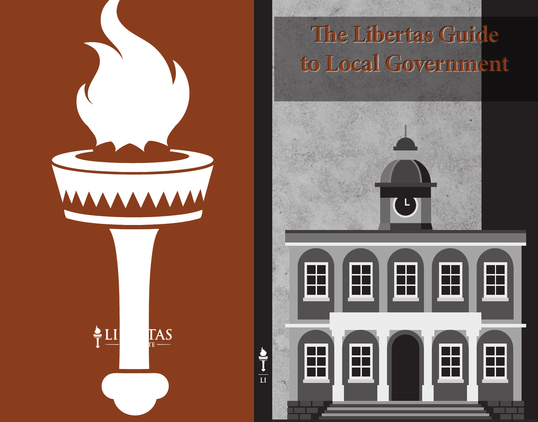

## **The Libertas Guide to Local Government**

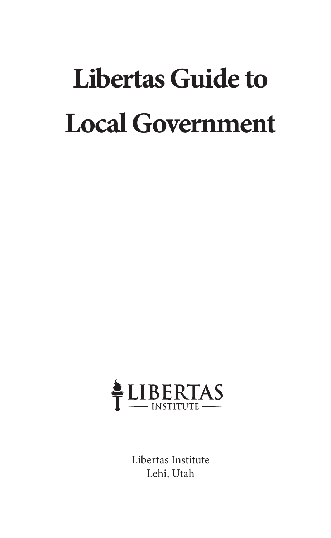# **Libertas Guide to Local Government**



Libertas Institute Lehi, Utah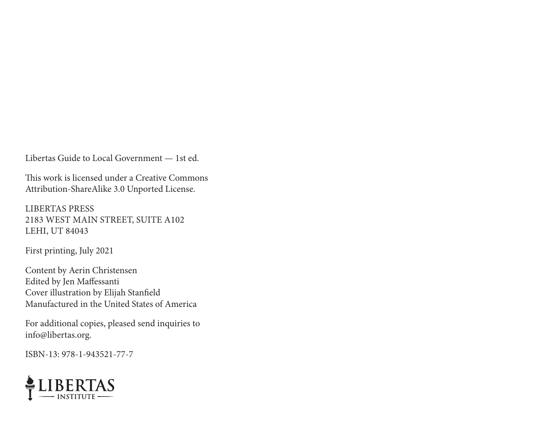Libertas Guide to Local Government — 1st ed.

This work is licensed under a Creative Commons Attribution-ShareAlike 3.0 Unported License.

LIBERTAS PRESS 2183 WEST MAIN STREET, SUITE A102 LEHI, UT 84043

First printing, July 2021

Content by Aerin Christensen Edited by Jen Maffessanti Cover illustration by Elijah Stanfield Manufactured in the United States of America

For additional copies, pleased send inquiries to info@libertas.org.

ISBN-13: 978-1-943521-77-7

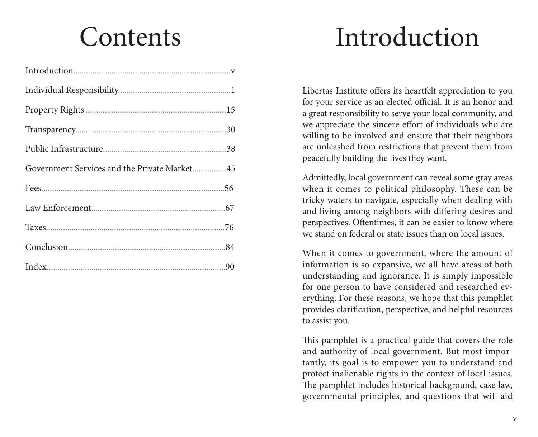## **Contents**

# Introduction

Libertas Institute offers its heartfelt appreciation to you for your service as an elected official. It is an honor and a great responsibility to serve your local community, and we appreciate the sincere effort of individuals who are willing to be involved and ensure that their neighbors are unleashed from restrictions that prevent them from peacefully building the lives they want.

Admittedly, local government can reveal some gray areas when it comes to political philosophy. These can be tricky waters to navigate, especially when dealing with and living among neighbors with differing desires and perspectives. Oftentimes, it can be easier to know where we stand on federal or state issues than on local issues.

When it comes to government, where the amount of information is so expansive, we all have areas of both understanding and ignorance. It is simply impossible for one person to have considered and researched everything. For these reasons, we hope that this pamphlet provides clarification, perspective, and helpful resources to assist you.

This pamphlet is a practical guide that covers the role and authority of local government. But most importantly, its goal is to empower you to understand and protect inalienable rights in the context of local issues. The pamphlet includes historical background, case law, governmental principles, and questions that will aid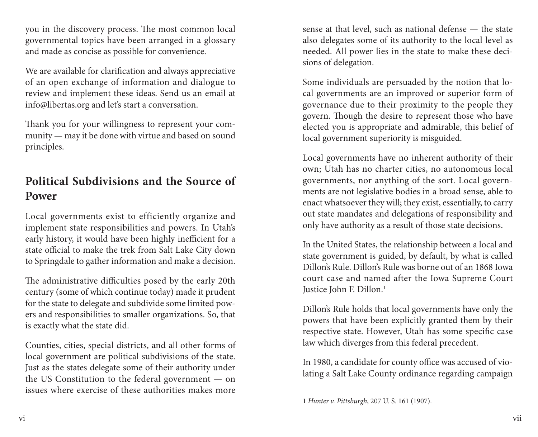you in the discovery process. The most common local governmental topics have been arranged in a glossary and made as concise as possible for convenience.

We are available for clarification and always appreciative of an open exchange of information and dialogue to review and implement these ideas. Send us an email at info@libertas.org and let's start a conversation.

Thank you for your willingness to represent your community — may it be done with virtue and based on sound principles.

## **Political Subdivisions and the Source of Power**

Local governments exist to efficiently organize and implement state responsibilities and powers. In Utah's early history, it would have been highly inefficient for a state official to make the trek from Salt Lake City down to Springdale to gather information and make a decision.

The administrative difficulties posed by the early 20th century (some of which continue today) made it prudent for the state to delegate and subdivide some limited powers and responsibilities to smaller organizations. So, that is exactly what the state did.

Counties, cities, special districts, and all other forms of local government are political subdivisions of the state. Just as the states delegate some of their authority under the US Constitution to the federal government — on issues where exercise of these authorities makes more sense at that level, such as national defense — the state also delegates some of its authority to the local level as needed. All power lies in the state to make these decisions of delegation.

Some individuals are persuaded by the notion that local governments are an improved or superior form of governance due to their proximity to the people they govern. Though the desire to represent those who have elected you is appropriate and admirable, this belief of local government superiority is misguided.

Local governments have no inherent authority of their own; Utah has no charter cities, no autonomous local governments, nor anything of the sort. Local governments are not legislative bodies in a broad sense, able to enact whatsoever they will; they exist, essentially, to carry out state mandates and delegations of responsibility and only have authority as a result of those state decisions.

In the United States, the relationship between a local and state government is guided, by default, by what is called Dillon's Rule. Dillon's Rule was borne out of an 1868 Iowa court case and named after the Iowa Supreme Court Justice John F. Dillon.1

Dillon's Rule holds that local governments have only the powers that have been explicitly granted them by their respective state. However, Utah has some specific case law which diverges from this federal precedent.

In 1980, a candidate for county office was accused of violating a Salt Lake County ordinance regarding campaign

<sup>1</sup> *Hunter v. Pittsburgh*, 207 U. S. 161 (1907).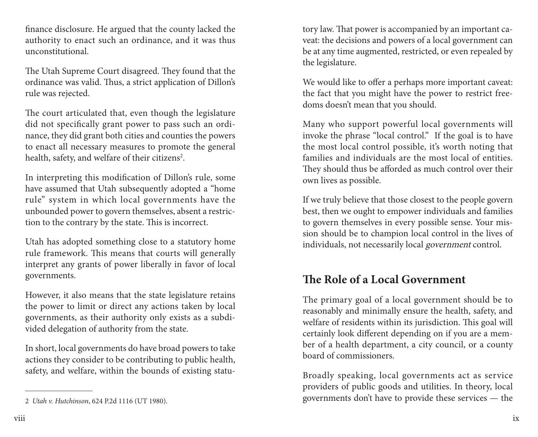finance disclosure. He argued that the county lacked the authority to enact such an ordinance, and it was thus unconstitutional.

The Utah Supreme Court disagreed. They found that the ordinance was valid. Thus, a strict application of Dillon's rule was rejected.

The court articulated that, even though the legislature did not specifically grant power to pass such an ordinance, they did grant both cities and counties the powers to enact all necessary measures to promote the general health, safety, and welfare of their citizens<sup>2</sup>.

In interpreting this modification of Dillon's rule, some have assumed that Utah subsequently adopted a "home rule" system in which local governments have the unbounded power to govern themselves, absent a restriction to the contrary by the state. This is incorrect.

Utah has adopted something close to a statutory home rule framework. This means that courts will generally interpret any grants of power liberally in favor of local governments.

However, it also means that the state legislature retains the power to limit or direct any actions taken by local governments, as their authority only exists as a subdivided delegation of authority from the state.

In short, local governments do have broad powers to take actions they consider to be contributing to public health, safety, and welfare, within the bounds of existing statu-

tory law. That power is accompanied by an important caveat: the decisions and powers of a local government can be at any time augmented, restricted, or even repealed by the legislature.

We would like to offer a perhaps more important caveat: the fact that you might have the power to restrict freedoms doesn't mean that you should.

Many who support powerful local governments will invoke the phrase "local control." If the goal is to have the most local control possible, it's worth noting that families and individuals are the most local of entities. They should thus be afforded as much control over their own lives as possible.

If we truly believe that those closest to the people govern best, then we ought to empower individuals and families to govern themselves in every possible sense. Your mission should be to champion local control in the lives of individuals, not necessarily local government control.

## **The Role of a Local Government**

The primary goal of a local government should be to reasonably and minimally ensure the health, safety, and welfare of residents within its jurisdiction. This goal will certainly look different depending on if you are a member of a health department, a city council, or a county board of commissioners.

Broadly speaking, local governments act as service providers of public goods and utilities. In theory, local governments don't have to provide these services — the

<sup>2</sup> *Utah v. Hutchinson*, 624 P.2d 1116 (UT 1980).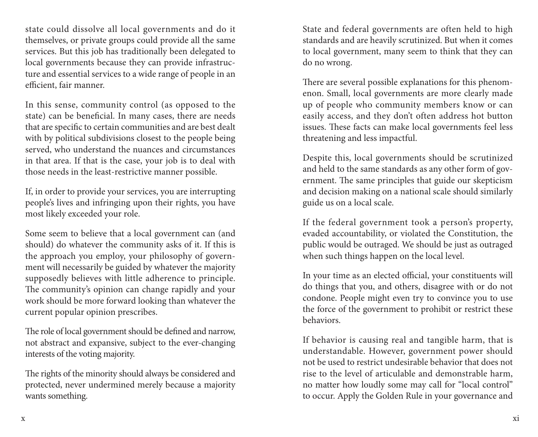state could dissolve all local governments and do it themselves, or private groups could provide all the same services. But this job has traditionally been delegated to local governments because they can provide infrastructure and essential services to a wide range of people in an efficient, fair manner.

In this sense, community control (as opposed to the state) can be beneficial. In many cases, there are needs that are specific to certain communities and are best dealt with by political subdivisions closest to the people being served, who understand the nuances and circumstances in that area. If that is the case, your job is to deal with those needs in the least-restrictive manner possible.

If, in order to provide your services, you are interrupting people's lives and infringing upon their rights, you have most likely exceeded your role.

Some seem to believe that a local government can (and should) do whatever the community asks of it. If this is the approach you employ, your philosophy of government will necessarily be guided by whatever the majority supposedly believes with little adherence to principle. The community's opinion can change rapidly and your work should be more forward looking than whatever the current popular opinion prescribes.

The role of local government should be defined and narrow, not abstract and expansive, subject to the ever-changing interests of the voting majority.

The rights of the minority should always be considered and protected, never undermined merely because a majority wants something.

State and federal governments are often held to high standards and are heavily scrutinized. But when it comes to local government, many seem to think that they can do no wrong.

There are several possible explanations for this phenomenon. Small, local governments are more clearly made up of people who community members know or can easily access, and they don't often address hot button issues. These facts can make local governments feel less threatening and less impactful.

Despite this, local governments should be scrutinized and held to the same standards as any other form of government. The same principles that guide our skepticism and decision making on a national scale should similarly guide us on a local scale.

If the federal government took a person's property, evaded accountability, or violated the Constitution, the public would be outraged. We should be just as outraged when such things happen on the local level.

In your time as an elected official, your constituents will do things that you, and others, disagree with or do not condone. People might even try to convince you to use the force of the government to prohibit or restrict these behaviors.

If behavior is causing real and tangible harm, that is understandable. However, government power should not be used to restrict undesirable behavior that does not rise to the level of articulable and demonstrable harm, no matter how loudly some may call for "local control" to occur. Apply the Golden Rule in your governance and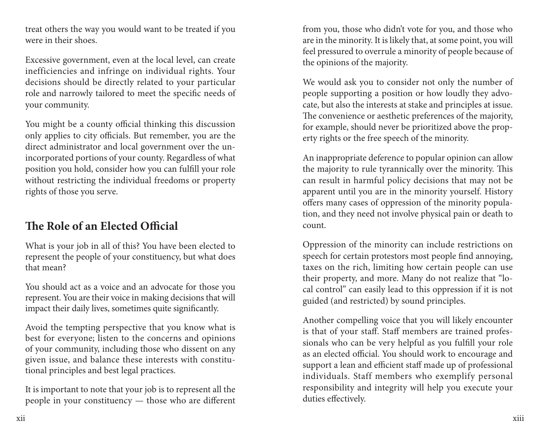treat others the way you would want to be treated if you were in their shoes.

Excessive government, even at the local level, can create inefficiencies and infringe on individual rights. Your decisions should be directly related to your particular role and narrowly tailored to meet the specific needs of your community.

You might be a county official thinking this discussion only applies to city officials. But remember, you are the direct administrator and local government over the unincorporated portions of your county. Regardless of what position you hold, consider how you can fulfill your role without restricting the individual freedoms or property rights of those you serve.

## **The Role of an Elected Official**

What is your job in all of this? You have been elected to represent the people of your constituency, but what does that mean?

You should act as a voice and an advocate for those you represent. You are their voice in making decisions that will impact their daily lives, sometimes quite significantly.

Avoid the tempting perspective that you know what is best for everyone; listen to the concerns and opinions of your community, including those who dissent on any given issue, and balance these interests with constitutional principles and best legal practices.

It is important to note that your job is to represent all the people in your constituency — those who are different from you, those who didn't vote for you, and those who are in the minority. It is likely that, at some point, you will feel pressured to overrule a minority of people because of the opinions of the majority.

We would ask you to consider not only the number of people supporting a position or how loudly they advocate, but also the interests at stake and principles at issue. The convenience or aesthetic preferences of the majority, for example, should never be prioritized above the property rights or the free speech of the minority.

An inappropriate deference to popular opinion can allow the majority to rule tyrannically over the minority. This can result in harmful policy decisions that may not be apparent until you are in the minority yourself. History offers many cases of oppression of the minority population, and they need not involve physical pain or death to count.

Oppression of the minority can include restrictions on speech for certain protestors most people find annoying, taxes on the rich, limiting how certain people can use their property, and more. Many do not realize that "local control" can easily lead to this oppression if it is not guided (and restricted) by sound principles.

Another compelling voice that you will likely encounter is that of your staff. Staff members are trained professionals who can be very helpful as you fulfill your role as an elected official. You should work to encourage and support a lean and efficient staff made up of professional individuals. Staff members who exemplify personal responsibility and integrity will help you execute your duties effectively.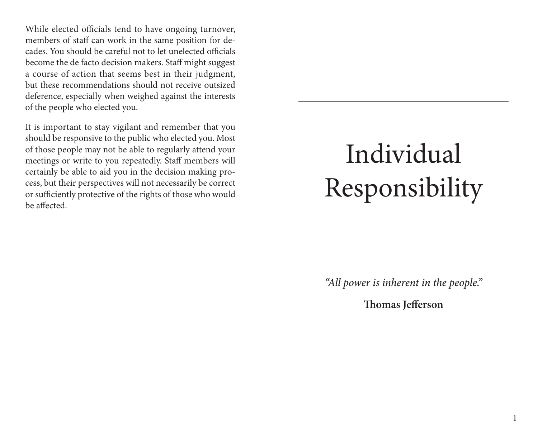While elected officials tend to have ongoing turnover, members of staff can work in the same position for decades. You should be careful not to let unelected officials become the de facto decision makers. Staff might suggest a course of action that seems best in their judgment, but these recommendations should not receive outsized deference, especially when weighed against the interests of the people who elected you.

It is important to stay vigilant and remember that you should be responsive to the public who elected you. Most of those people may not be able to regularly attend your meetings or write to you repeatedly. Staff members will certainly be able to aid you in the decision making process, but their perspectives will not necessarily be correct or sufficiently protective of the rights of those who would be affected.

# Individual Responsibility

*"All power is inherent in the people."*

**Thomas Jefferson**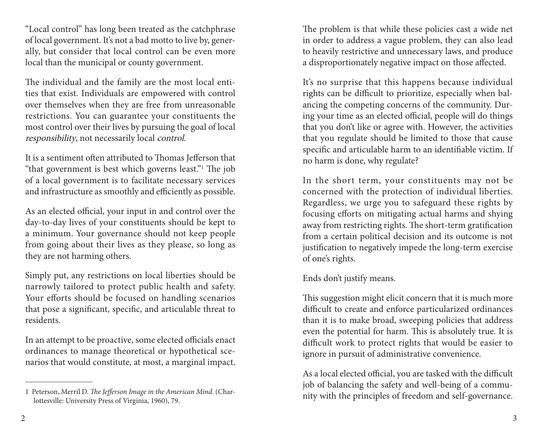"Local control" has long been treated as the catchphrase of local government. It's not a bad motto to live by, generally, but consider that local control can be even more local than the municipal or county government.

The individual and the family are the most local entities that exist. Individuals are empowered with control over themselves when they are free from unreasonable restrictions. You can guarantee your constituents the most control over their lives by pursuing the goal of local responsibility, not necessarily local control.

It is a sentiment often attributed to Thomas Jefferson that "that government is best which governs least."1 The job of a local government is to facilitate necessary services and infrastructure as smoothly and efficiently as possible.

As an elected official, your input in and control over the day-to-day lives of your constituents should be kept to a minimum. Your governance should not keep people from going about their lives as they please, so long as they are not harming others.

Simply put, any restrictions on local liberties should be narrowly tailored to protect public health and safety. Your efforts should be focused on handling scenarios that pose a significant, specific, and articulable threat to residents.

In an attempt to be proactive, some elected officials enact ordinances to manage theoretical or hypothetical scenarios that would constitute, at most, a marginal impact.

The problem is that while these policies cast a wide net in order to address a vague problem, they can also lead to heavily restrictive and unnecessary laws, and produce a disproportionately negative impact on those affected.

It's no surprise that this happens because individual rights can be difficult to prioritize, especially when balancing the competing concerns of the community. During your time as an elected official, people will do things that you don't like or agree with. However, the activities that you regulate should be limited to those that cause specific and articulable harm to an identifiable victim. If no harm is done, why regulate?

In the short term, your constituents may not be concerned with the protection of individual liberties. Regardless, we urge you to safeguard these rights by focusing efforts on mitigating actual harms and shying away from restricting rights. The short-term gratification from a certain political decision and its outcome is not justification to negatively impede the long-term exercise of one's rights.

Ends don't justify means.

This suggestion might elicit concern that it is much more difficult to create and enforce particularized ordinances than it is to make broad, sweeping policies that address even the potential for harm. This is absolutely true. It is difficult work to protect rights that would be easier to ignore in pursuit of administrative convenience.

As a local elected official, you are tasked with the difficult job of balancing the safety and well-being of a community with the principles of freedom and self-governance.

<sup>1</sup> Peterson, Merril D. *The Jefferson Image in the American Mind*. (Charlottesville: University Press of Virginia, 1960), 79.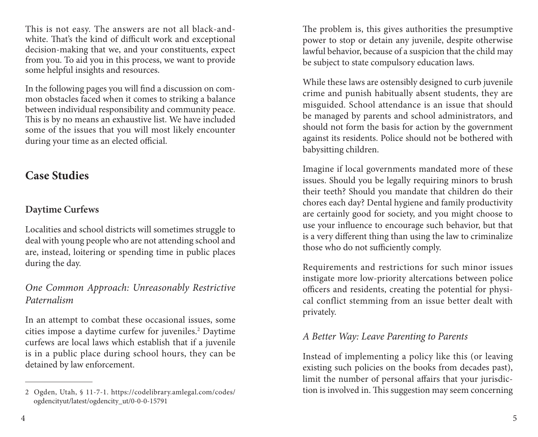This is not easy. The answers are not all black-andwhite. That's the kind of difficult work and exceptional decision-making that we, and your constituents, expect from you. To aid you in this process, we want to provide some helpful insights and resources.

In the following pages you will find a discussion on common obstacles faced when it comes to striking a balance between individual responsibility and community peace. This is by no means an exhaustive list. We have included some of the issues that you will most likely encounter during your time as an elected official.

## **Case Studies**

#### **Daytime Curfews**

Localities and school districts will sometimes struggle to deal with young people who are not attending school and are, instead, loitering or spending time in public places during the day.

### *One Common Approach: Unreasonably Restrictive Paternalism*

In an attempt to combat these occasional issues, some cities impose a daytime curfew for juveniles.<sup>2</sup> Daytime curfews are local laws which establish that if a juvenile is in a public place during school hours, they can be detained by law enforcement.

The problem is, this gives authorities the presumptive power to stop or detain any juvenile, despite otherwise lawful behavior, because of a suspicion that the child may be subject to state compulsory education laws.

While these laws are ostensibly designed to curb juvenile crime and punish habitually absent students, they are misguided. School attendance is an issue that should be managed by parents and school administrators, and should not form the basis for action by the government against its residents. Police should not be bothered with babysitting children.

Imagine if local governments mandated more of these issues. Should you be legally requiring minors to brush their teeth? Should you mandate that children do their chores each day? Dental hygiene and family productivity are certainly good for society, and you might choose to use your influence to encourage such behavior, but that is a very different thing than using the law to criminalize those who do not sufficiently comply.

Requirements and restrictions for such minor issues instigate more low-priority altercations between police officers and residents, creating the potential for physical conflict stemming from an issue better dealt with privately.

#### *A Better Way: Leave Parenting to Parents*

Instead of implementing a policy like this (or leaving existing such policies on the books from decades past), limit the number of personal affairs that your jurisdiction is involved in. This suggestion may seem concerning

<sup>2</sup> Ogden, Utah, § 11-7-1. https://codelibrary.amlegal.com/codes/ ogdencityut/latest/ogdencity\_ut/0-0-0-15791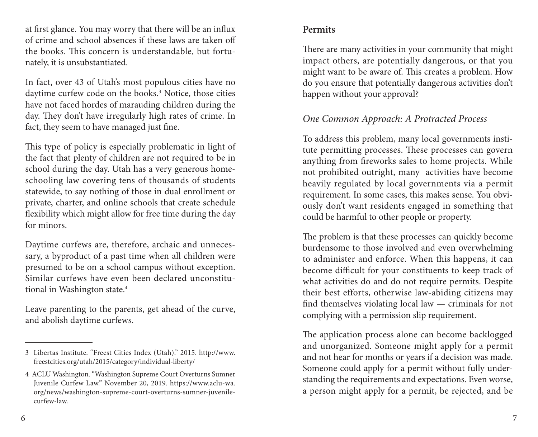at first glance. You may worry that there will be an influx of crime and school absences if these laws are taken off the books. This concern is understandable, but fortunately, it is unsubstantiated.

In fact, over 43 of Utah's most populous cities have no daytime curfew code on the books.<sup>3</sup> Notice, those cities have not faced hordes of marauding children during the day. They don't have irregularly high rates of crime. In fact, they seem to have managed just fine.

This type of policy is especially problematic in light of the fact that plenty of children are not required to be in school during the day. Utah has a very generous homeschooling law covering tens of thousands of students statewide, to say nothing of those in dual enrollment or private, charter, and online schools that create schedule flexibility which might allow for free time during the day for minors.

Daytime curfews are, therefore, archaic and unnecessary, a byproduct of a past time when all children were presumed to be on a school campus without exception. Similar curfews have even been declared unconstitutional in Washington state.4

Leave parenting to the parents, get ahead of the curve, and abolish daytime curfews.

There are many activities in your community that might impact others, are potentially dangerous, or that you might want to be aware of. This creates a problem. How do you ensure that potentially dangerous activities don't happen without your approval?

## *One Common Approach: A Protracted Process*

To address this problem, many local governments institute permitting processes. These processes can govern anything from fireworks sales to home projects. While not prohibited outright, many activities have become heavily regulated by local governments via a permit requirement. In some cases, this makes sense. You obviously don't want residents engaged in something that could be harmful to other people or property.

The problem is that these processes can quickly become burdensome to those involved and even overwhelming to administer and enforce. When this happens, it can become difficult for your constituents to keep track of what activities do and do not require permits. Despite their best efforts, otherwise law-abiding citizens may find themselves violating local law — criminals for not complying with a permission slip requirement.

The application process alone can become backlogged and unorganized. Someone might apply for a permit and not hear for months or years if a decision was made. Someone could apply for a permit without fully understanding the requirements and expectations. Even worse, a person might apply for a permit, be rejected, and be

<sup>3</sup> Libertas Institute. "Freest Cities Index (Utah)." 2015. http://www. freestcities.org/utah/2015/category/individual-liberty/

<sup>4</sup> ACLU Washington. "Washington Supreme Court Overturns Sumner Juvenile Curfew Law." November 20, 2019. https://www.aclu-wa. org/news/washington-supreme-court-overturns-sumner-juvenilecurfew-law.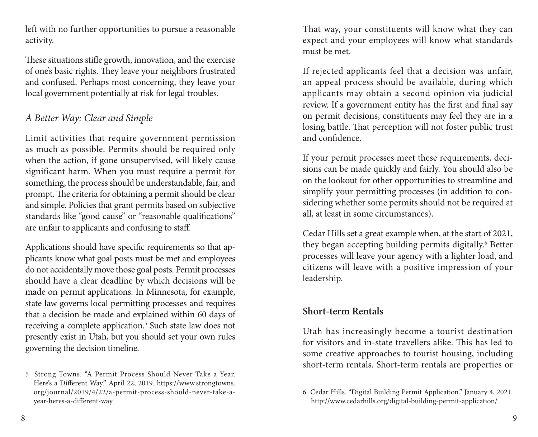left with no further opportunities to pursue a reasonable activity.

These situations stifle growth, innovation, and the exercise of one's basic rights. They leave your neighbors frustrated and confused. Perhaps most concerning, they leave your local government potentially at risk for legal troubles.

### *A Better Way: Clear and Simple*

Limit activities that require government permission as much as possible. Permits should be required only when the action, if gone unsupervised, will likely cause significant harm. When you must require a permit for something, the process should be understandable, fair, and prompt. The criteria for obtaining a permit should be clear and simple. Policies that grant permits based on subjective standards like "good cause" or "reasonable qualifications" are unfair to applicants and confusing to staff.

Applications should have specific requirements so that applicants know what goal posts must be met and employees do not accidentally move those goal posts. Permit processes should have a clear deadline by which decisions will be made on permit applications. In Minnesota, for example, state law governs local permitting processes and requires that a decision be made and explained within 60 days of receiving a complete application.<sup>5</sup> Such state law does not presently exist in Utah, but you should set your own rules governing the decision timeline.

That way, your constituents will know what they can expect and your employees will know what standards must be met.

If rejected applicants feel that a decision was unfair, an appeal process should be available, during which applicants may obtain a second opinion via judicial review. If a government entity has the first and final say on permit decisions, constituents may feel they are in a losing battle. That perception will not foster public trust and confidence.

If your permit processes meet these requirements, decisions can be made quickly and fairly. You should also be on the lookout for other opportunities to streamline and simplify your permitting processes (in addition to considering whether some permits should not be required at all, at least in some circumstances).

Cedar Hills set a great example when, at the start of 2021, they began accepting building permits digitally.<sup>6</sup> Better processes will leave your agency with a lighter load, and citizens will leave with a positive impression of your leadership.

### **Short-term Rentals**

Utah has increasingly become a tourist destination for visitors and in-state travellers alike. This has led to some creative approaches to tourist housing, including short-term rentals. Short-term rentals are properties or

<sup>5</sup> Strong Towns. "A Permit Process Should Never Take a Year. Here's a Different Way." April 22, 2019. https://www.strongtowns. org/journal/2019/4/22/a-permit-process-should-never-take-ayear-heres-a-different-way

<sup>6</sup> Cedar Hills. "Digital Building Permit Application." January 4, 2021. http://www.cedarhills.org/digital-building-permit-application/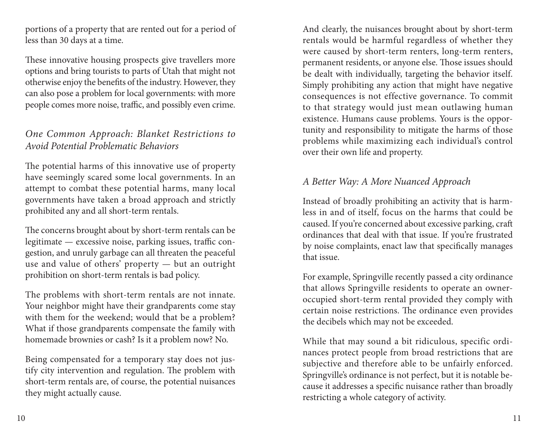portions of a property that are rented out for a period of less than 30 days at a time.

These innovative housing prospects give travellers more options and bring tourists to parts of Utah that might not otherwise enjoy the benefits of the industry. However, they can also pose a problem for local governments: with more people comes more noise, traffic, and possibly even crime.

### *One Common Approach: Blanket Restrictions to Avoid Potential Problematic Behaviors*

The potential harms of this innovative use of property have seemingly scared some local governments. In an attempt to combat these potential harms, many local governments have taken a broad approach and strictly prohibited any and all short-term rentals.

The concerns brought about by short-term rentals can be legitimate — excessive noise, parking issues, traffic congestion, and unruly garbage can all threaten the peaceful use and value of others' property — but an outright prohibition on short-term rentals is bad policy.

The problems with short-term rentals are not innate. Your neighbor might have their grandparents come stay with them for the weekend; would that be a problem? What if those grandparents compensate the family with homemade brownies or cash? Is it a problem now? No.

Being compensated for a temporary stay does not justify city intervention and regulation. The problem with short-term rentals are, of course, the potential nuisances they might actually cause.

And clearly, the nuisances brought about by short-term rentals would be harmful regardless of whether they were caused by short-term renters, long-term renters, permanent residents, or anyone else. Those issues should be dealt with individually, targeting the behavior itself. Simply prohibiting any action that might have negative consequences is not effective governance. To commit to that strategy would just mean outlawing human existence. Humans cause problems. Yours is the opportunity and responsibility to mitigate the harms of those problems while maximizing each individual's control over their own life and property.

## *A Better Way: A More Nuanced Approach*

Instead of broadly prohibiting an activity that is harmless in and of itself, focus on the harms that could be caused. If you're concerned about excessive parking, craft ordinances that deal with that issue. If you're frustrated by noise complaints, enact law that specifically manages that issue.

For example, Springville recently passed a city ordinance that allows Springville residents to operate an owneroccupied short-term rental provided they comply with certain noise restrictions. The ordinance even provides the decibels which may not be exceeded.

While that may sound a bit ridiculous, specific ordinances protect people from broad restrictions that are subjective and therefore able to be unfairly enforced. Springville's ordinance is not perfect, but it is notable because it addresses a specific nuisance rather than broadly restricting a whole category of activity.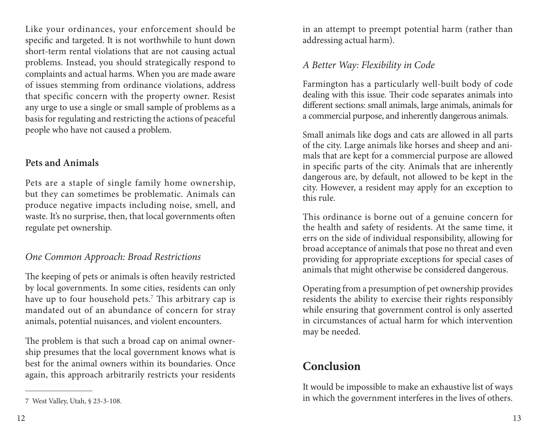Like your ordinances, your enforcement should be specific and targeted. It is not worthwhile to hunt down short-term rental violations that are not causing actual problems. Instead, you should strategically respond to complaints and actual harms. When you are made aware of issues stemming from ordinance violations, address that specific concern with the property owner. Resist any urge to use a single or small sample of problems as a basis for regulating and restricting the actions of peaceful people who have not caused a problem.

#### **Pets and Animals**

Pets are a staple of single family home ownership, but they can sometimes be problematic. Animals can produce negative impacts including noise, smell, and waste. It's no surprise, then, that local governments often regulate pet ownership.

## *One Common Approach: Broad Restrictions*

The keeping of pets or animals is often heavily restricted by local governments. In some cities, residents can only have up to four household pets.7 This arbitrary cap is mandated out of an abundance of concern for stray animals, potential nuisances, and violent encounters.

The problem is that such a broad cap on animal ownership presumes that the local government knows what is best for the animal owners within its boundaries. Once again, this approach arbitrarily restricts your residents in an attempt to preempt potential harm (rather than addressing actual harm).

## *A Better Way: Flexibility in Code*

Farmington has a particularly well-built body of code dealing with this issue. Their code separates animals into different sections: small animals, large animals, animals for a commercial purpose, and inherently dangerous animals.

Small animals like dogs and cats are allowed in all parts of the city. Large animals like horses and sheep and animals that are kept for a commercial purpose are allowed in specific parts of the city. Animals that are inherently dangerous are, by default, not allowed to be kept in the city. However, a resident may apply for an exception to this rule.

This ordinance is borne out of a genuine concern for the health and safety of residents. At the same time, it errs on the side of individual responsibility, allowing for broad acceptance of animals that pose no threat and even providing for appropriate exceptions for special cases of animals that might otherwise be considered dangerous.

Operating from a presumption of pet ownership provides residents the ability to exercise their rights responsibly while ensuring that government control is only asserted in circumstances of actual harm for which intervention may be needed.

## **Conclusion**

It would be impossible to make an exhaustive list of ways in which the government interferes in the lives of others.

<sup>7</sup> West Valley, Utah, § 23-3-108.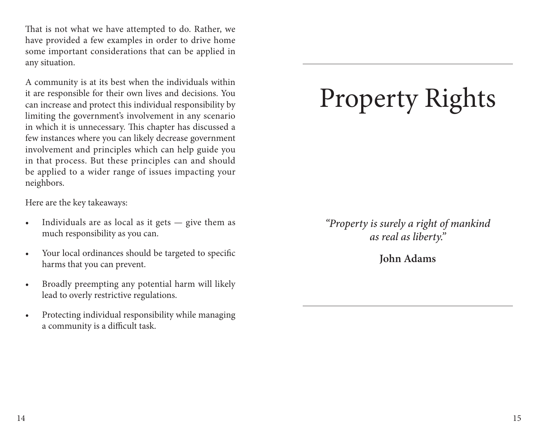That is not what we have attempted to do. Rather, we have provided a few examples in order to drive home some important considerations that can be applied in any situation.

A community is at its best when the individuals within it are responsible for their own lives and decisions. You can increase and protect this individual responsibility by limiting the government's involvement in any scenario in which it is unnecessary. This chapter has discussed a few instances where you can likely decrease government involvement and principles which can help guide you in that process. But these principles can and should be applied to a wider range of issues impacting your neighbors.

Here are the key takeaways:

- Individuals are as local as it gets give them as much responsibility as you can.
- Your local ordinances should be targeted to specific harms that you can prevent.
- Broadly preempting any potential harm will likely lead to overly restrictive regulations.
- Protecting individual responsibility while managing a community is a difficult task.

# Property Rights

*"Property is surely a right of mankind as real as liberty."*

**John Adams**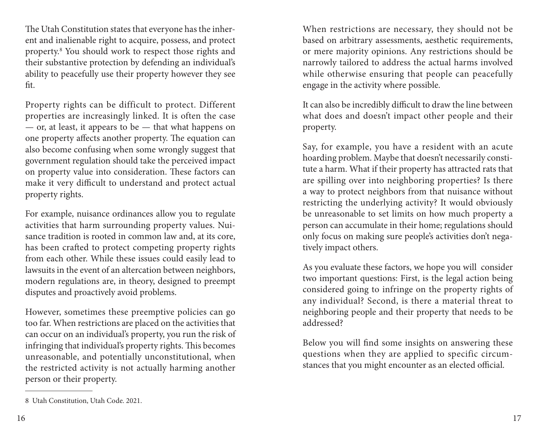The Utah Constitution states that everyone has the inherent and inalienable right to acquire, possess, and protect property.8 You should work to respect those rights and their substantive protection by defending an individual's ability to peacefully use their property however they see fit.

Property rights can be difficult to protect. Different properties are increasingly linked. It is often the case — or, at least, it appears to be — that what happens on one property affects another property. The equation can also become confusing when some wrongly suggest that government regulation should take the perceived impact on property value into consideration. These factors can make it very difficult to understand and protect actual property rights.

For example, nuisance ordinances allow you to regulate activities that harm surrounding property values. Nuisance tradition is rooted in common law and, at its core, has been crafted to protect competing property rights from each other. While these issues could easily lead to lawsuits in the event of an altercation between neighbors, modern regulations are, in theory, designed to preempt disputes and proactively avoid problems.

However, sometimes these preemptive policies can go too far. When restrictions are placed on the activities that can occur on an individual's property, you run the risk of infringing that individual's property rights. This becomes unreasonable, and potentially unconstitutional, when the restricted activity is not actually harming another person or their property.

When restrictions are necessary, they should not be based on arbitrary assessments, aesthetic requirements, or mere majority opinions. Any restrictions should be narrowly tailored to address the actual harms involved while otherwise ensuring that people can peacefully engage in the activity where possible.

It can also be incredibly difficult to draw the line between what does and doesn't impact other people and their property.

Say, for example, you have a resident with an acute hoarding problem. Maybe that doesn't necessarily constitute a harm. What if their property has attracted rats that are spilling over into neighboring properties? Is there a way to protect neighbors from that nuisance without restricting the underlying activity? It would obviously be unreasonable to set limits on how much property a person can accumulate in their home; regulations should only focus on making sure people's activities don't negatively impact others.

As you evaluate these factors, we hope you will consider two important questions: First, is the legal action being considered going to infringe on the property rights of any individual? Second, is there a material threat to neighboring people and their property that needs to be addressed?

Below you will find some insights on answering these questions when they are applied to specific circumstances that you might encounter as an elected official.

<sup>8</sup> Utah Constitution, Utah Code. 2021.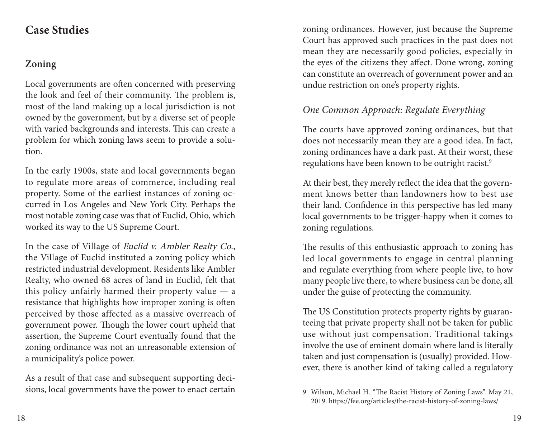## **Case Studies**

## **Zoning**

Local governments are often concerned with preserving the look and feel of their community. The problem is, most of the land making up a local jurisdiction is not owned by the government, but by a diverse set of people with varied backgrounds and interests. This can create a problem for which zoning laws seem to provide a solution.

In the early 1900s, state and local governments began to regulate more areas of commerce, including real property. Some of the earliest instances of zoning occurred in Los Angeles and New York City. Perhaps the most notable zoning case was that of Euclid, Ohio, which worked its way to the US Supreme Court.

In the case of Village of Euclid v. Ambler Realty Co., the Village of Euclid instituted a zoning policy which restricted industrial development. Residents like Ambler Realty, who owned 68 acres of land in Euclid, felt that this policy unfairly harmed their property value — a resistance that highlights how improper zoning is often perceived by those affected as a massive overreach of government power. Though the lower court upheld that assertion, the Supreme Court eventually found that the zoning ordinance was not an unreasonable extension of a municipality's police power.

As a result of that case and subsequent supporting decisions, local governments have the power to enact certain zoning ordinances. However, just because the Supreme Court has approved such practices in the past does not mean they are necessarily good policies, especially in the eyes of the citizens they affect. Done wrong, zoning can constitute an overreach of government power and an undue restriction on one's property rights.

## *One Common Approach: Regulate Everything*

The courts have approved zoning ordinances, but that does not necessarily mean they are a good idea. In fact, zoning ordinances have a dark past. At their worst, these regulations have been known to be outright racist.<sup>9</sup>

At their best, they merely reflect the idea that the government knows better than landowners how to best use their land. Confidence in this perspective has led many local governments to be trigger-happy when it comes to zoning regulations.

The results of this enthusiastic approach to zoning has led local governments to engage in central planning and regulate everything from where people live, to how many people live there, to where business can be done, all under the guise of protecting the community.

The US Constitution protects property rights by guaranteeing that private property shall not be taken for public use without just compensation. Traditional takings involve the use of eminent domain where land is literally taken and just compensation is (usually) provided. However, there is another kind of taking called a regulatory

<sup>9</sup> Wilson, Michael H. "The Racist History of Zoning Laws". May 21, 2019. https://fee.org/articles/the-racist-history-of-zoning-laws/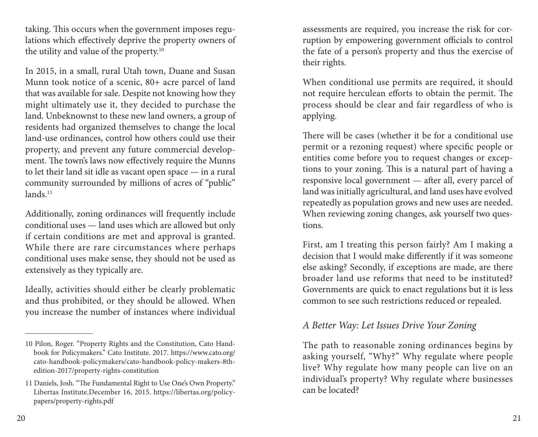taking. This occurs when the government imposes regulations which effectively deprive the property owners of the utility and value of the property.<sup>10</sup>

In 2015, in a small, rural Utah town, Duane and Susan Munn took notice of a scenic, 80+ acre parcel of land that was available for sale. Despite not knowing how they might ultimately use it, they decided to purchase the land. Unbeknownst to these new land owners, a group of residents had organized themselves to change the local land-use ordinances, control how others could use their property, and prevent any future commercial development. The town's laws now effectively require the Munns to let their land sit idle as vacant open space — in a rural community surrounded by millions of acres of "public" lands.<sup>11</sup>

Additionally, zoning ordinances will frequently include conditional uses — land uses which are allowed but only if certain conditions are met and approval is granted. While there are rare circumstances where perhaps conditional uses make sense, they should not be used as extensively as they typically are.

Ideally, activities should either be clearly problematic and thus prohibited, or they should be allowed. When you increase the number of instances where individual assessments are required, you increase the risk for corruption by empowering government officials to control the fate of a person's property and thus the exercise of their rights.

When conditional use permits are required, it should not require herculean efforts to obtain the permit. The process should be clear and fair regardless of who is applying.

There will be cases (whether it be for a conditional use permit or a rezoning request) where specific people or entities come before you to request changes or exceptions to your zoning. This is a natural part of having a responsive local government — after all, every parcel of land was initially agricultural, and land uses have evolved repeatedly as population grows and new uses are needed. When reviewing zoning changes, ask yourself two questions.

First, am I treating this person fairly? Am I making a decision that I would make differently if it was someone else asking? Secondly, if exceptions are made, are there broader land use reforms that need to be instituted? Governments are quick to enact regulations but it is less common to see such restrictions reduced or repealed.

#### *A Better Way: Let Issues Drive Your Zoning*

The path to reasonable zoning ordinances begins by asking yourself, "Why?" Why regulate where people live? Why regulate how many people can live on an individual's property? Why regulate where businesses can be located?

<sup>10</sup> Pilon, Roger. "Property Rights and the Constitution, Cato Handbook for Policymakers." Cato Institute. 2017. https://www.cato.org/ cato-handbook-policymakers/cato-handbook-policy-makers-8thedition-2017/property-rights-constitution

<sup>11</sup> Daniels, Josh. "The Fundamental Right to Use One's Own Property." Libertas Institute.December 16, 2015. https://libertas.org/policypapers/property-rights.pdf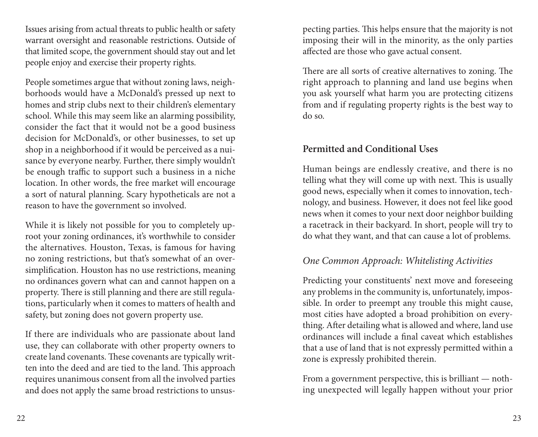Issues arising from actual threats to public health or safety warrant oversight and reasonable restrictions. Outside of that limited scope, the government should stay out and let people enjoy and exercise their property rights.

People sometimes argue that without zoning laws, neighborhoods would have a McDonald's pressed up next to homes and strip clubs next to their children's elementary school. While this may seem like an alarming possibility, consider the fact that it would not be a good business decision for McDonald's, or other businesses, to set up shop in a neighborhood if it would be perceived as a nuisance by everyone nearby. Further, there simply wouldn't be enough traffic to support such a business in a niche location. In other words, the free market will encourage a sort of natural planning. Scary hypotheticals are not a reason to have the government so involved.

While it is likely not possible for you to completely uproot your zoning ordinances, it's worthwhile to consider the alternatives. Houston, Texas, is famous for having no zoning restrictions, but that's somewhat of an oversimplification. Houston has no use restrictions, meaning no ordinances govern what can and cannot happen on a property. There is still planning and there are still regulations, particularly when it comes to matters of health and safety, but zoning does not govern property use.

If there are individuals who are passionate about land use, they can collaborate with other property owners to create land covenants. These covenants are typically written into the deed and are tied to the land. This approach requires unanimous consent from all the involved parties and does not apply the same broad restrictions to unsus-

pecting parties. This helps ensure that the majority is not imposing their will in the minority, as the only parties affected are those who gave actual consent.

There are all sorts of creative alternatives to zoning. The right approach to planning and land use begins when you ask yourself what harm you are protecting citizens from and if regulating property rights is the best way to do so.

### **Permitted and Conditional Uses**

Human beings are endlessly creative, and there is no telling what they will come up with next. This is usually good news, especially when it comes to innovation, technology, and business. However, it does not feel like good news when it comes to your next door neighbor building a racetrack in their backyard. In short, people will try to do what they want, and that can cause a lot of problems.

### *One Common Approach: Whitelisting Activities*

Predicting your constituents' next move and foreseeing any problems in the community is, unfortunately, impossible. In order to preempt any trouble this might cause, most cities have adopted a broad prohibition on everything. After detailing what is allowed and where, land use ordinances will include a final caveat which establishes that a use of land that is not expressly permitted within a zone is expressly prohibited therein.

From a government perspective, this is brilliant — nothing unexpected will legally happen without your prior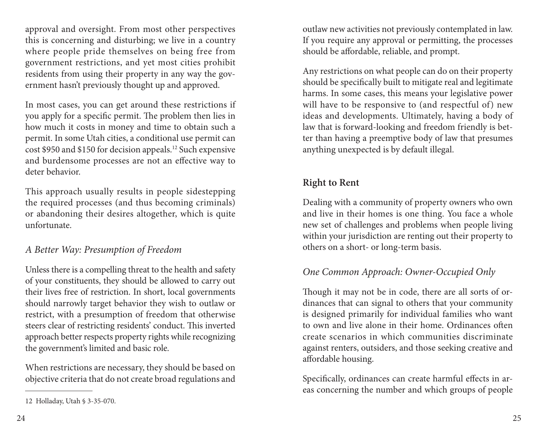approval and oversight. From most other perspectives this is concerning and disturbing; we live in a country where people pride themselves on being free from government restrictions, and yet most cities prohibit residents from using their property in any way the government hasn't previously thought up and approved.

In most cases, you can get around these restrictions if you apply for a specific permit. The problem then lies in how much it costs in money and time to obtain such a permit. In some Utah cities, a conditional use permit can cost \$950 and \$150 for decision appeals.12 Such expensive and burdensome processes are not an effective way to deter behavior.

This approach usually results in people sidestepping the required processes (and thus becoming criminals) or abandoning their desires altogether, which is quite unfortunate.

*A Better Way: Presumption of Freedom*

Unless there is a compelling threat to the health and safety of your constituents, they should be allowed to carry out their lives free of restriction. In short, local governments should narrowly target behavior they wish to outlaw or restrict, with a presumption of freedom that otherwise steers clear of restricting residents' conduct. This inverted approach better respects property rights while recognizing the government's limited and basic role.

When restrictions are necessary, they should be based on objective criteria that do not create broad regulations and outlaw new activities not previously contemplated in law. If you require any approval or permitting, the processes should be affordable, reliable, and prompt.

Any restrictions on what people can do on their property should be specifically built to mitigate real and legitimate harms. In some cases, this means your legislative power will have to be responsive to (and respectful of) new ideas and developments. Ultimately, having a body of law that is forward-looking and freedom friendly is better than having a preemptive body of law that presumes anything unexpected is by default illegal.

## **Right to Rent**

Dealing with a community of property owners who own and live in their homes is one thing. You face a whole new set of challenges and problems when people living within your jurisdiction are renting out their property to others on a short- or long-term basis.

## *One Common Approach: Owner-Occupied Only*

Though it may not be in code, there are all sorts of ordinances that can signal to others that your community is designed primarily for individual families who want to own and live alone in their home. Ordinances often create scenarios in which communities discriminate against renters, outsiders, and those seeking creative and affordable housing.

Specifically, ordinances can create harmful effects in areas concerning the number and which groups of people

<sup>12</sup> Holladay, Utah § 3-35-070.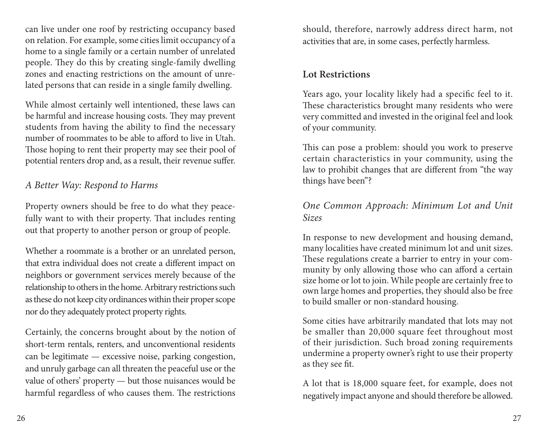can live under one roof by restricting occupancy based on relation. For example, some cities limit occupancy of a home to a single family or a certain number of unrelated people. They do this by creating single-family dwelling zones and enacting restrictions on the amount of unrelated persons that can reside in a single family dwelling.

While almost certainly well intentioned, these laws can be harmful and increase housing costs. They may prevent students from having the ability to find the necessary number of roommates to be able to afford to live in Utah. Those hoping to rent their property may see their pool of potential renters drop and, as a result, their revenue suffer.

#### *A Better Way: Respond to Harms*

Property owners should be free to do what they peacefully want to with their property. That includes renting out that property to another person or group of people.

Whether a roommate is a brother or an unrelated person, that extra individual does not create a different impact on neighbors or government services merely because of the relationship to others in the home. Arbitrary restrictions such as these do not keep city ordinances within their proper scope nor do they adequately protect property rights.

Certainly, the concerns brought about by the notion of short-term rentals, renters, and unconventional residents can be legitimate — excessive noise, parking congestion, and unruly garbage can all threaten the peaceful use or the value of others' property — but those nuisances would be harmful regardless of who causes them. The restrictions should, therefore, narrowly address direct harm, not activities that are, in some cases, perfectly harmless.

#### **Lot Restrictions**

Years ago, your locality likely had a specific feel to it. These characteristics brought many residents who were very committed and invested in the original feel and look of your community.

This can pose a problem: should you work to preserve certain characteristics in your community, using the law to prohibit changes that are different from "the way things have been"?

#### *One Common Approach: Minimum Lot and Unit Sizes*

In response to new development and housing demand, many localities have created minimum lot and unit sizes. These regulations create a barrier to entry in your community by only allowing those who can afford a certain size home or lot to join. While people are certainly free to own large homes and properties, they should also be free to build smaller or non-standard housing.

Some cities have arbitrarily mandated that lots may not be smaller than 20,000 square feet throughout most of their jurisdiction. Such broad zoning requirements undermine a property owner's right to use their property as they see fit.

A lot that is 18,000 square feet, for example, does not negatively impact anyone and should therefore be allowed.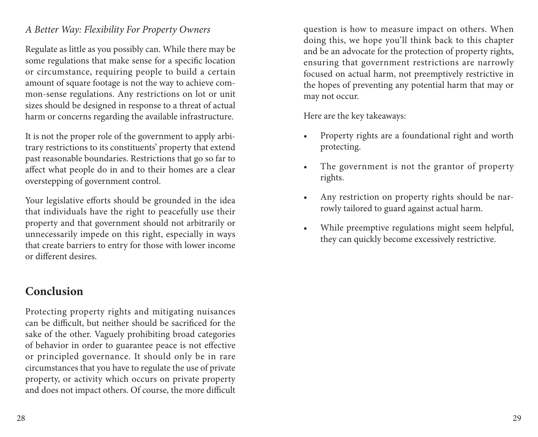#### *A Better Way: Flexibility For Property Owners*

Regulate as little as you possibly can. While there may be some regulations that make sense for a specific location or circumstance, requiring people to build a certain amount of square footage is not the way to achieve common-sense regulations. Any restrictions on lot or unit sizes should be designed in response to a threat of actual harm or concerns regarding the available infrastructure.

It is not the proper role of the government to apply arbitrary restrictions to its constituents' property that extend past reasonable boundaries. Restrictions that go so far to affect what people do in and to their homes are a clear overstepping of government control.

Your legislative efforts should be grounded in the idea that individuals have the right to peacefully use their property and that government should not arbitrarily or unnecessarily impede on this right, especially in ways that create barriers to entry for those with lower income or different desires.

## **Conclusion**

Protecting property rights and mitigating nuisances can be difficult, but neither should be sacrificed for the sake of the other. Vaguely prohibiting broad categories of behavior in order to guarantee peace is not effective or principled governance. It should only be in rare circumstances that you have to regulate the use of private property, or activity which occurs on private property and does not impact others. Of course, the more difficult question is how to measure impact on others. When doing this, we hope you'll think back to this chapter and be an advocate for the protection of property rights, ensuring that government restrictions are narrowly focused on actual harm, not preemptively restrictive in the hopes of preventing any potential harm that may or may not occur.

Here are the key takeaways:

- Property rights are a foundational right and worth protecting.
- The government is not the grantor of property rights.
- Any restriction on property rights should be narrowly tailored to guard against actual harm.
- While preemptive regulations might seem helpful, they can quickly become excessively restrictive.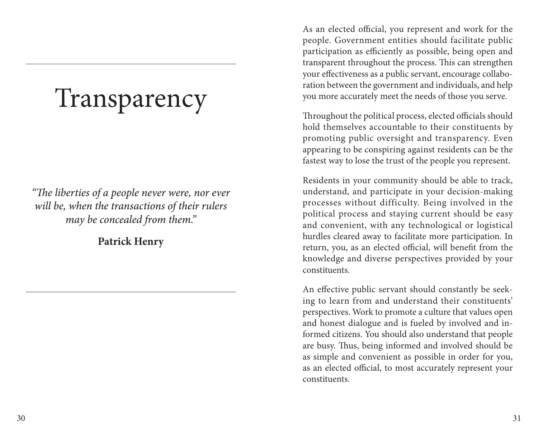# Transparency

*"The liberties of a people never were, nor ever will be, when the transactions of their rulers may be concealed from them."*

**Patrick Henry**

As an elected official, you represent and work for the people. Government entities should facilitate public participation as efficiently as possible, being open and transparent throughout the process. This can strengthen your effectiveness as a public servant, encourage collaboration between the government and individuals, and help you more accurately meet the needs of those you serve.

Throughout the political process, elected officials should hold themselves accountable to their constituents by promoting public oversight and transparency. Even appearing to be conspiring against residents can be the fastest way to lose the trust of the people you represent.

Residents in your community should be able to track, understand, and participate in your decision-making processes without difficulty. Being involved in the political process and staying current should be easy and convenient, with any technological or logistical hurdles cleared away to facilitate more participation. In return, you, as an elected official, will benefit from the knowledge and diverse perspectives provided by your constituents.

An effective public servant should constantly be seeking to learn from and understand their constituents' perspectives. Work to promote a culture that values open and honest dialogue and is fueled by involved and informed citizens. You should also understand that people are busy. Thus, being informed and involved should be as simple and convenient as possible in order for you, as an elected official, to most accurately represent your constituents.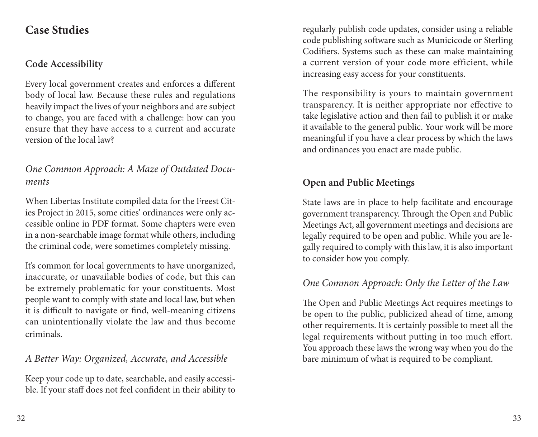## **Case Studies**

## **Code Accessibility**

Every local government creates and enforces a different body of local law. Because these rules and regulations heavily impact the lives of your neighbors and are subject to change, you are faced with a challenge: how can you ensure that they have access to a current and accurate version of the local law?

## *One Common Approach: A Maze of Outdated Documents*

When Libertas Institute compiled data for the Freest Cities Project in 2015, some cities' ordinances were only accessible online in PDF format. Some chapters were even in a non-searchable image format while others, including the criminal code, were sometimes completely missing.

It's common for local governments to have unorganized, inaccurate, or unavailable bodies of code, but this can be extremely problematic for your constituents. Most people want to comply with state and local law, but when it is difficult to navigate or find, well-meaning citizens can unintentionally violate the law and thus become criminals.

### *A Better Way: Organized, Accurate, and Accessible*

Keep your code up to date, searchable, and easily accessible. If your staff does not feel confident in their ability to

regularly publish code updates, consider using a reliable code publishing software such as Municicode or Sterling Codifiers. Systems such as these can make maintaining a current version of your code more efficient, while increasing easy access for your constituents.

The responsibility is yours to maintain government transparency. It is neither appropriate nor effective to take legislative action and then fail to publish it or make it available to the general public. Your work will be more meaningful if you have a clear process by which the laws and ordinances you enact are made public.

## **Open and Public Meetings**

State laws are in place to help facilitate and encourage government transparency. Through the Open and Public Meetings Act, all government meetings and decisions are legally required to be open and public. While you are legally required to comply with this law, it is also important to consider how you comply.

## *One Common Approach: Only the Letter of the Law*

The Open and Public Meetings Act requires meetings to be open to the public, publicized ahead of time, among other requirements. It is certainly possible to meet all the legal requirements without putting in too much effort. You approach these laws the wrong way when you do the bare minimum of what is required to be compliant.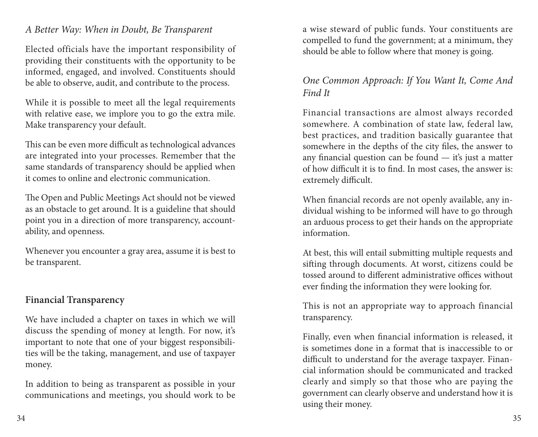#### *A Better Way: When in Doubt, Be Transparent*

Elected officials have the important responsibility of providing their constituents with the opportunity to be informed, engaged, and involved. Constituents should be able to observe, audit, and contribute to the process.

While it is possible to meet all the legal requirements with relative ease, we implore you to go the extra mile. Make transparency your default.

This can be even more difficult as technological advances are integrated into your processes. Remember that the same standards of transparency should be applied when it comes to online and electronic communication.

The Open and Public Meetings Act should not be viewed as an obstacle to get around. It is a guideline that should point you in a direction of more transparency, accountability, and openness.

Whenever you encounter a gray area, assume it is best to be transparent.

#### **Financial Transparency**

We have included a chapter on taxes in which we will discuss the spending of money at length. For now, it's important to note that one of your biggest responsibilities will be the taking, management, and use of taxpayer money.

In addition to being as transparent as possible in your communications and meetings, you should work to be a wise steward of public funds. Your constituents are compelled to fund the government; at a minimum, they should be able to follow where that money is going.

### *One Common Approach: If You Want It, Come And Find It*

Financial transactions are almost always recorded somewhere. A combination of state law, federal law, best practices, and tradition basically guarantee that somewhere in the depths of the city files, the answer to any financial question can be found — it's just a matter of how difficult it is to find. In most cases, the answer is: extremely difficult.

When financial records are not openly available, any individual wishing to be informed will have to go through an arduous process to get their hands on the appropriate information.

At best, this will entail submitting multiple requests and sifting through documents. At worst, citizens could be tossed around to different administrative offices without ever finding the information they were looking for.

This is not an appropriate way to approach financial transparency.

Finally, even when financial information is released, it is sometimes done in a format that is inaccessible to or difficult to understand for the average taxpayer. Financial information should be communicated and tracked clearly and simply so that those who are paying the government can clearly observe and understand how it is using their money.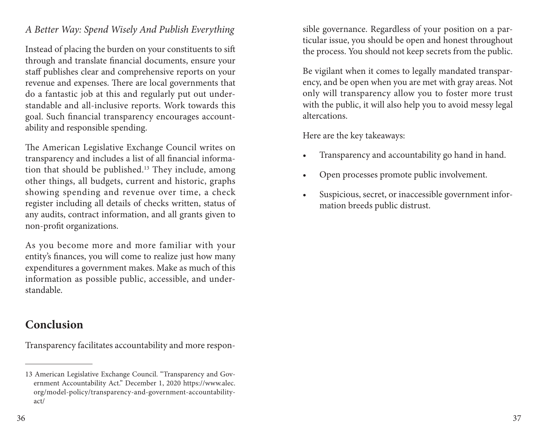#### *A Better Way: Spend Wisely And Publish Everything*

Instead of placing the burden on your constituents to sift through and translate financial documents, ensure your staff publishes clear and comprehensive reports on your revenue and expenses. There are local governments that do a fantastic job at this and regularly put out understandable and all-inclusive reports. Work towards this goal. Such financial transparency encourages accountability and responsible spending.

The American Legislative Exchange Council writes on transparency and includes a list of all financial information that should be published.<sup>13</sup> They include, among other things, all budgets, current and historic, graphs showing spending and revenue over time, a check register including all details of checks written, status of any audits, contract information, and all grants given to non-profit organizations.

As you become more and more familiar with your entity's finances, you will come to realize just how many expenditures a government makes. Make as much of this information as possible public, accessible, and understandable.

## **Conclusion**

Transparency facilitates accountability and more respon-

sible governance. Regardless of your position on a particular issue, you should be open and honest throughout the process. You should not keep secrets from the public.

Be vigilant when it comes to legally mandated transparency, and be open when you are met with gray areas. Not only will transparency allow you to foster more trust with the public, it will also help you to avoid messy legal altercations.

Here are the key takeaways:

- Transparency and accountability go hand in hand.
- Open processes promote public involvement.
- Suspicious, secret, or inaccessible government information breeds public distrust.

<sup>13</sup> American Legislative Exchange Council. "Transparency and Government Accountability Act." December 1, 2020 https://www.alec. org/model-policy/transparency-and-government-accountabilityact/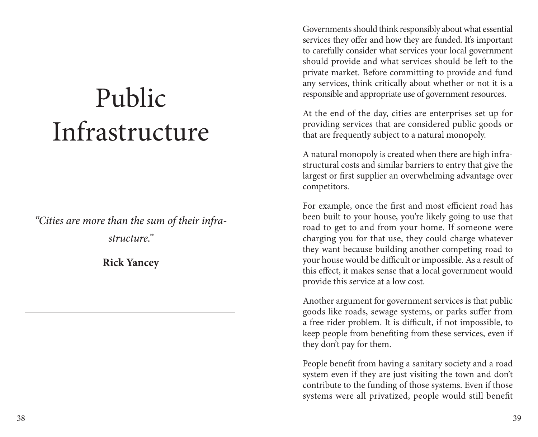# Public Infrastructure

*"Cities are more than the sum of their infrastructure."*

**Rick Yancey**

Governments should think responsibly about what essential services they offer and how they are funded. It's important to carefully consider what services your local government should provide and what services should be left to the private market. Before committing to provide and fund any services, think critically about whether or not it is a responsible and appropriate use of government resources.

At the end of the day, cities are enterprises set up for providing services that are considered public goods or that are frequently subject to a natural monopoly.

A natural monopoly is created when there are high infrastructural costs and similar barriers to entry that give the largest or first supplier an overwhelming advantage over competitors.

For example, once the first and most efficient road has been built to your house, you're likely going to use that road to get to and from your home. If someone were charging you for that use, they could charge whatever they want because building another competing road to your house would be difficult or impossible. As a result of this effect, it makes sense that a local government would provide this service at a low cost.

Another argument for government services is that public goods like roads, sewage systems, or parks suffer from a free rider problem. It is difficult, if not impossible, to keep people from benefiting from these services, even if they don't pay for them.

People benefit from having a sanitary society and a road system even if they are just visiting the town and don't contribute to the funding of those systems. Even if those systems were all privatized, people would still benefit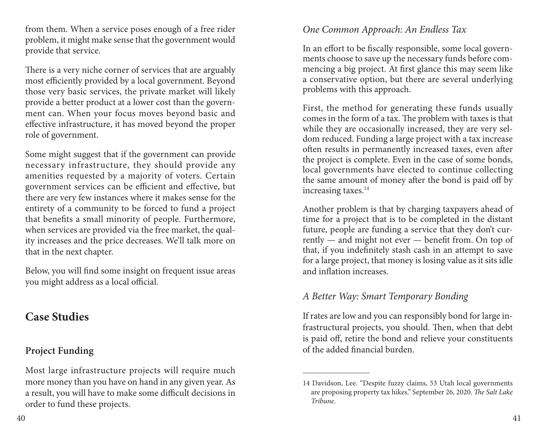from them. When a service poses enough of a free rider problem, it might make sense that the government would provide that service.

There is a very niche corner of services that are arguably most efficiently provided by a local government. Beyond those very basic services, the private market will likely provide a better product at a lower cost than the government can. When your focus moves beyond basic and effective infrastructure, it has moved beyond the proper role of government.

Some might suggest that if the government can provide necessary infrastructure, they should provide any amenities requested by a majority of voters. Certain government services can be efficient and effective, but there are very few instances where it makes sense for the entirety of a community to be forced to fund a project that benefits a small minority of people. Furthermore, when services are provided via the free market, the quality increases and the price decreases. We'll talk more on that in the next chapter.

Below, you will find some insight on frequent issue areas you might address as a local official.

## **Case Studies**

## **Project Funding**

Most large infrastructure projects will require much more money than you have on hand in any given year. As a result, you will have to make some difficult decisions in order to fund these projects.

### *One Common Approach: An Endless Tax*

In an effort to be fiscally responsible, some local governments choose to save up the necessary funds before commencing a big project. At first glance this may seem like a conservative option, but there are several underlying problems with this approach.

First, the method for generating these funds usually comes in the form of a tax. The problem with taxes is that while they are occasionally increased, they are very seldom reduced. Funding a large project with a tax increase often results in permanently increased taxes, even after the project is complete. Even in the case of some bonds, local governments have elected to continue collecting the same amount of money after the bond is paid off by increasing taxes.14

Another problem is that by charging taxpayers ahead of time for a project that is to be completed in the distant future, people are funding a service that they don't currently — and might not ever — benefit from. On top of that, if you indefinitely stash cash in an attempt to save for a large project, that money is losing value as it sits idle and inflation increases.

### *A Better Way: Smart Temporary Bonding*

If rates are low and you can responsibly bond for large infrastructural projects, you should. Then, when that debt is paid off, retire the bond and relieve your constituents of the added financial burden.

<sup>14</sup> Davidson, Lee. "Despite fuzzy claims, 53 Utah local governments are proposing property tax hikes." September 26, 2020. *The Salt Lake Tribune*.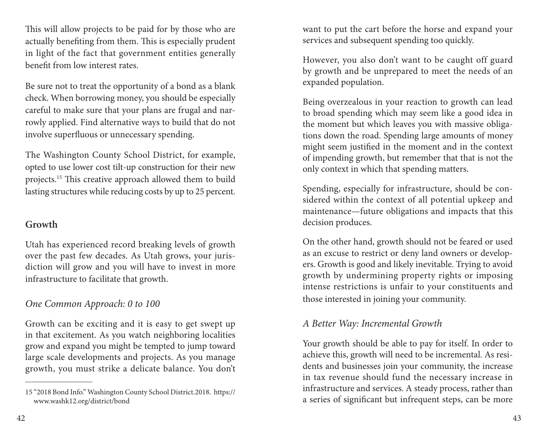This will allow projects to be paid for by those who are actually benefiting from them. This is especially prudent in light of the fact that government entities generally benefit from low interest rates.

Be sure not to treat the opportunity of a bond as a blank check. When borrowing money, you should be especially careful to make sure that your plans are frugal and narrowly applied. Find alternative ways to build that do not involve superfluous or unnecessary spending.

The Washington County School District, for example, opted to use lower cost tilt-up construction for their new projects.15 This creative approach allowed them to build lasting structures while reducing costs by up to 25 percent.

#### **Growth**

Utah has experienced record breaking levels of growth over the past few decades. As Utah grows, your jurisdiction will grow and you will have to invest in more infrastructure to facilitate that growth.

## *One Common Approach: 0 to 100*

Growth can be exciting and it is easy to get swept up in that excitement. As you watch neighboring localities grow and expand you might be tempted to jump toward large scale developments and projects. As you manage growth, you must strike a delicate balance. You don't want to put the cart before the horse and expand your services and subsequent spending too quickly.

However, you also don't want to be caught off guard by growth and be unprepared to meet the needs of an expanded population.

Being overzealous in your reaction to growth can lead to broad spending which may seem like a good idea in the moment but which leaves you with massive obligations down the road. Spending large amounts of money might seem justified in the moment and in the context of impending growth, but remember that that is not the only context in which that spending matters.

Spending, especially for infrastructure, should be considered within the context of all potential upkeep and maintenance—future obligations and impacts that this decision produces.

On the other hand, growth should not be feared or used as an excuse to restrict or deny land owners or developers. Growth is good and likely inevitable. Trying to avoid growth by undermining property rights or imposing intense restrictions is unfair to your constituents and those interested in joining your community.

## *A Better Way: Incremental Growth*

Your growth should be able to pay for itself. In order to achieve this, growth will need to be incremental. As residents and businesses join your community, the increase in tax revenue should fund the necessary increase in infrastructure and services. A steady process, rather than a series of significant but infrequent steps, can be more

<sup>15 &</sup>quot;2018 Bond Info." Washington County School District.2018. https:// www.washk12.org/district/bond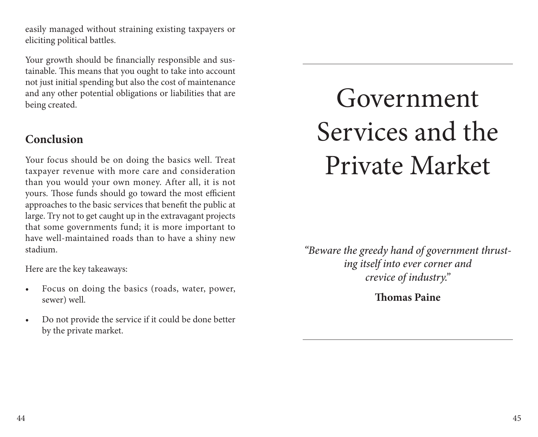easily managed without straining existing taxpayers or eliciting political battles.

Your growth should be financially responsible and sustainable. This means that you ought to take into account not just initial spending but also the cost of maintenance and any other potential obligations or liabilities that are being created.

## **Conclusion**

Your focus should be on doing the basics well. Treat taxpayer revenue with more care and consideration than you would your own money. After all, it is not yours. Those funds should go toward the most efficient approaches to the basic services that benefit the public at large. Try not to get caught up in the extravagant projects that some governments fund; it is more important to have well-maintained roads than to have a shiny new stadium.

Here are the key takeaways:

- Focus on doing the basics (roads, water, power, sewer) well.
- Do not provide the service if it could be done better by the private market.

# Government Services and the Private Market

*"Beware the greedy hand of government thrusting itself into ever corner and crevice of industry."*

**Thomas Paine**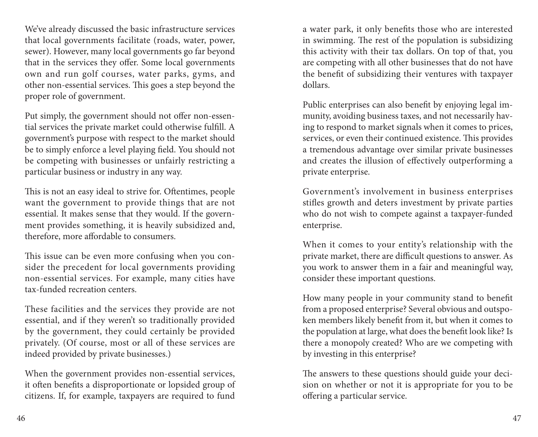We've already discussed the basic infrastructure services that local governments facilitate (roads, water, power, sewer). However, many local governments go far beyond that in the services they offer. Some local governments own and run golf courses, water parks, gyms, and other non-essential services. This goes a step beyond the proper role of government.

Put simply, the government should not offer non-essential services the private market could otherwise fulfill. A government's purpose with respect to the market should be to simply enforce a level playing field. You should not be competing with businesses or unfairly restricting a particular business or industry in any way.

This is not an easy ideal to strive for. Oftentimes, people want the government to provide things that are not essential. It makes sense that they would. If the government provides something, it is heavily subsidized and, therefore, more affordable to consumers.

This issue can be even more confusing when you consider the precedent for local governments providing non-essential services. For example, many cities have tax-funded recreation centers.

These facilities and the services they provide are not essential, and if they weren't so traditionally provided by the government, they could certainly be provided privately. (Of course, most or all of these services are indeed provided by private businesses.)

When the government provides non-essential services, it often benefits a disproportionate or lopsided group of citizens. If, for example, taxpayers are required to fund

a water park, it only benefits those who are interested in swimming. The rest of the population is subsidizing this activity with their tax dollars. On top of that, you are competing with all other businesses that do not have the benefit of subsidizing their ventures with taxpayer dollars.

Public enterprises can also benefit by enjoying legal immunity, avoiding business taxes, and not necessarily having to respond to market signals when it comes to prices, services, or even their continued existence. This provides a tremendous advantage over similar private businesses and creates the illusion of effectively outperforming a private enterprise.

Government's involvement in business enterprises stifles growth and deters investment by private parties who do not wish to compete against a taxpayer-funded enterprise.

When it comes to your entity's relationship with the private market, there are difficult questions to answer. As you work to answer them in a fair and meaningful way, consider these important questions.

How many people in your community stand to benefit from a proposed enterprise? Several obvious and outspoken members likely benefit from it, but when it comes to the population at large, what does the benefit look like? Is there a monopoly created? Who are we competing with by investing in this enterprise?

The answers to these questions should guide your decision on whether or not it is appropriate for you to be offering a particular service.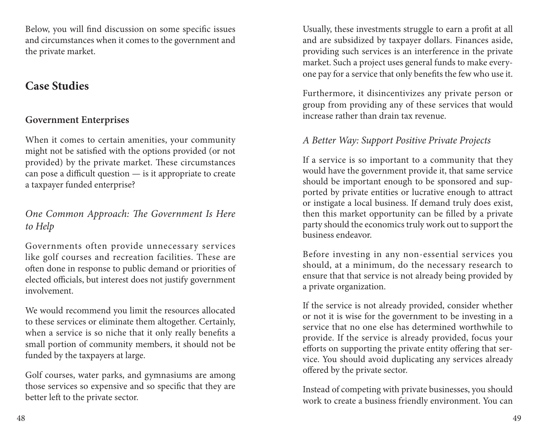Below, you will find discussion on some specific issues and circumstances when it comes to the government and the private market.

## **Case Studies**

### **Government Enterprises**

When it comes to certain amenities, your community might not be satisfied with the options provided (or not provided) by the private market. These circumstances can pose a difficult question — is it appropriate to create a taxpayer funded enterprise?

## *One Common Approach: The Government Is Here to Help*

Governments often provide unnecessary services like golf courses and recreation facilities. These are often done in response to public demand or priorities of elected officials, but interest does not justify government involvement.

We would recommend you limit the resources allocated to these services or eliminate them altogether. Certainly, when a service is so niche that it only really benefits a small portion of community members, it should not be funded by the taxpayers at large.

Golf courses, water parks, and gymnasiums are among those services so expensive and so specific that they are better left to the private sector.

Usually, these investments struggle to earn a profit at all and are subsidized by taxpayer dollars. Finances aside, providing such services is an interference in the private market. Such a project uses general funds to make everyone pay for a service that only benefits the few who use it.

Furthermore, it disincentivizes any private person or group from providing any of these services that would increase rather than drain tax revenue.

#### *A Better Way: Support Positive Private Projects*

If a service is so important to a community that they would have the government provide it, that same service should be important enough to be sponsored and supported by private entities or lucrative enough to attract or instigate a local business. If demand truly does exist, then this market opportunity can be filled by a private party should the economics truly work out to support the business endeavor.

Before investing in any non-essential services you should, at a minimum, do the necessary research to ensure that that service is not already being provided by a private organization.

If the service is not already provided, consider whether or not it is wise for the government to be investing in a service that no one else has determined worthwhile to provide. If the service is already provided, focus your efforts on supporting the private entity offering that service. You should avoid duplicating any services already offered by the private sector.

Instead of competing with private businesses, you should work to create a business friendly environment. You can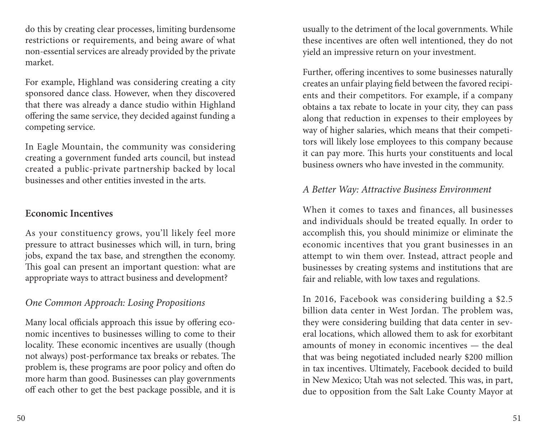do this by creating clear processes, limiting burdensome restrictions or requirements, and being aware of what non-essential services are already provided by the private market.

For example, Highland was considering creating a city sponsored dance class. However, when they discovered that there was already a dance studio within Highland offering the same service, they decided against funding a competing service.

In Eagle Mountain, the community was considering creating a government funded arts council, but instead created a public-private partnership backed by local businesses and other entities invested in the arts.

#### **Economic Incentives**

As your constituency grows, you'll likely feel more pressure to attract businesses which will, in turn, bring jobs, expand the tax base, and strengthen the economy. This goal can present an important question: what are appropriate ways to attract business and development?

## *One Common Approach: Losing Propositions*

Many local officials approach this issue by offering economic incentives to businesses willing to come to their locality. These economic incentives are usually (though not always) post-performance tax breaks or rebates. The problem is, these programs are poor policy and often do more harm than good. Businesses can play governments off each other to get the best package possible, and it is

usually to the detriment of the local governments. While these incentives are often well intentioned, they do not yield an impressive return on your investment.

Further, offering incentives to some businesses naturally creates an unfair playing field between the favored recipients and their competitors. For example, if a company obtains a tax rebate to locate in your city, they can pass along that reduction in expenses to their employees by way of higher salaries, which means that their competitors will likely lose employees to this company because it can pay more. This hurts your constituents and local business owners who have invested in the community.

#### *A Better Way: Attractive Business Environment*

When it comes to taxes and finances, all businesses and individuals should be treated equally. In order to accomplish this, you should minimize or eliminate the economic incentives that you grant businesses in an attempt to win them over. Instead, attract people and businesses by creating systems and institutions that are fair and reliable, with low taxes and regulations.

In 2016, Facebook was considering building a \$2.5 billion data center in West Jordan. The problem was, they were considering building that data center in several locations, which allowed them to ask for exorbitant amounts of money in economic incentives — the deal that was being negotiated included nearly \$200 million in tax incentives. Ultimately, Facebook decided to build in New Mexico; Utah was not selected. This was, in part, due to opposition from the Salt Lake County Mayor at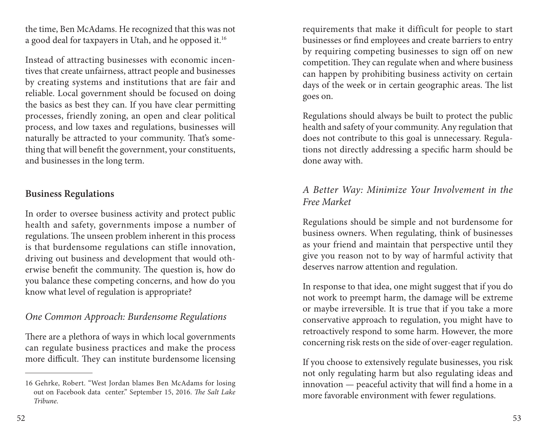the time, Ben McAdams. He recognized that this was not a good deal for taxpayers in Utah, and he opposed it.16

Instead of attracting businesses with economic incentives that create unfairness, attract people and businesses by creating systems and institutions that are fair and reliable. Local government should be focused on doing the basics as best they can. If you have clear permitting processes, friendly zoning, an open and clear political process, and low taxes and regulations, businesses will naturally be attracted to your community. That's something that will benefit the government, your constituents, and businesses in the long term.

#### **Business Regulations**

In order to oversee business activity and protect public health and safety, governments impose a number of regulations. The unseen problem inherent in this process is that burdensome regulations can stifle innovation, driving out business and development that would otherwise benefit the community. The question is, how do you balance these competing concerns, and how do you know what level of regulation is appropriate?

## *One Common Approach: Burdensome Regulations*

There are a plethora of ways in which local governments can regulate business practices and make the process more difficult. They can institute burdensome licensing

requirements that make it difficult for people to start businesses or find employees and create barriers to entry by requiring competing businesses to sign off on new competition. They can regulate when and where business can happen by prohibiting business activity on certain days of the week or in certain geographic areas. The list goes on.

Regulations should always be built to protect the public health and safety of your community. Any regulation that does not contribute to this goal is unnecessary. Regulations not directly addressing a specific harm should be done away with.

### *A Better Way: Minimize Your Involvement in the Free Market*

Regulations should be simple and not burdensome for business owners. When regulating, think of businesses as your friend and maintain that perspective until they give you reason not to by way of harmful activity that deserves narrow attention and regulation.

In response to that idea, one might suggest that if you do not work to preempt harm, the damage will be extreme or maybe irreversible. It is true that if you take a more conservative approach to regulation, you might have to retroactively respond to some harm. However, the more concerning risk rests on the side of over-eager regulation.

If you choose to extensively regulate businesses, you risk not only regulating harm but also regulating ideas and innovation — peaceful activity that will find a home in a more favorable environment with fewer regulations.

<sup>16</sup> Gehrke, Robert. "West Jordan blames Ben McAdams for losing out on Facebook data center." September 15, 2016. *The Salt Lake Tribune*.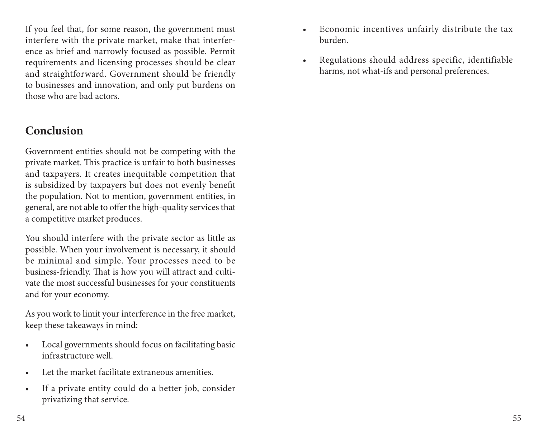If you feel that, for some reason, the government must interfere with the private market, make that interference as brief and narrowly focused as possible. Permit requirements and licensing processes should be clear and straightforward. Government should be friendly to businesses and innovation, and only put burdens on those who are bad actors.

## **Conclusion**

Government entities should not be competing with the private market. This practice is unfair to both businesses and taxpayers. It creates inequitable competition that is subsidized by taxpayers but does not evenly benefit the population. Not to mention, government entities, in general, are not able to offer the high-quality services that a competitive market produces.

You should interfere with the private sector as little as possible. When your involvement is necessary, it should be minimal and simple. Your processes need to be business-friendly. That is how you will attract and cultivate the most successful businesses for your constituents and for your economy.

As you work to limit your interference in the free market, keep these takeaways in mind:

- Local governments should focus on facilitating basic infrastructure well.
- Let the market facilitate extraneous amenities.
- If a private entity could do a better job, consider privatizing that service.
- Economic incentives unfairly distribute the tax burden.
- Regulations should address specific, identifiable harms, not what-ifs and personal preferences.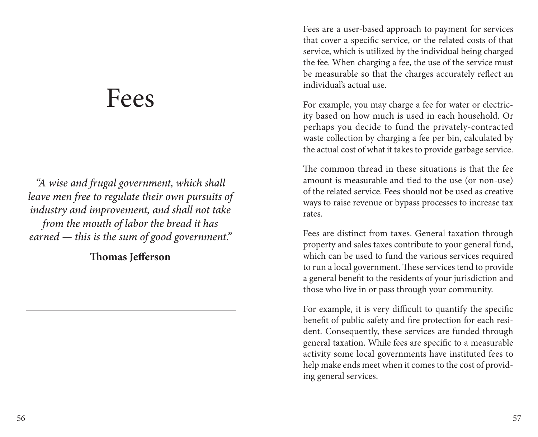## Fees

*"A wise and frugal government, which shall leave men free to regulate their own pursuits of industry and improvement, and shall not take from the mouth of labor the bread it has earned — this is the sum of good government."*

**Thomas Jefferson**

Fees are a user-based approach to payment for services that cover a specific service, or the related costs of that service, which is utilized by the individual being charged the fee. When charging a fee, the use of the service must be measurable so that the charges accurately reflect an individual's actual use.

For example, you may charge a fee for water or electricity based on how much is used in each household. Or perhaps you decide to fund the privately-contracted waste collection by charging a fee per bin, calculated by the actual cost of what it takes to provide garbage service.

The common thread in these situations is that the fee amount is measurable and tied to the use (or non-use) of the related service. Fees should not be used as creative ways to raise revenue or bypass processes to increase tax rates.

Fees are distinct from taxes. General taxation through property and sales taxes contribute to your general fund, which can be used to fund the various services required to run a local government. These services tend to provide a general benefit to the residents of your jurisdiction and those who live in or pass through your community.

For example, it is very difficult to quantify the specific benefit of public safety and fire protection for each resident. Consequently, these services are funded through general taxation. While fees are specific to a measurable activity some local governments have instituted fees to help make ends meet when it comes to the cost of providing general services.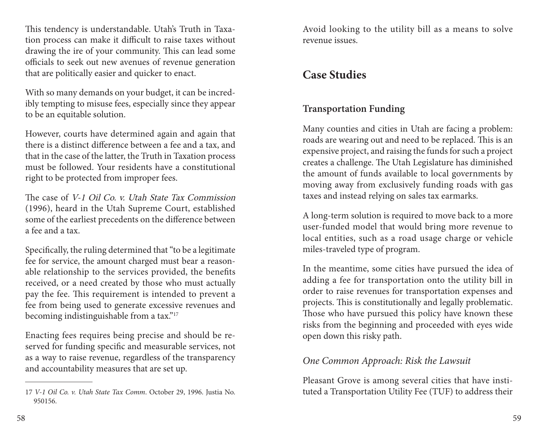This tendency is understandable. Utah's Truth in Taxation process can make it difficult to raise taxes without drawing the ire of your community. This can lead some officials to seek out new avenues of revenue generation that are politically easier and quicker to enact.

With so many demands on your budget, it can be incredibly tempting to misuse fees, especially since they appear to be an equitable solution.

However, courts have determined again and again that there is a distinct difference between a fee and a tax, and that in the case of the latter, the Truth in Taxation process must be followed. Your residents have a constitutional right to be protected from improper fees.

The case of V-1 Oil Co. v. Utah State Tax Commission (1996), heard in the Utah Supreme Court, established some of the earliest precedents on the difference between a fee and a tax.

Specifically, the ruling determined that "to be a legitimate fee for service, the amount charged must bear a reasonable relationship to the services provided, the benefits received, or a need created by those who must actually pay the fee. This requirement is intended to prevent a fee from being used to generate excessive revenues and becoming indistinguishable from a tax."17

Enacting fees requires being precise and should be reserved for funding specific and measurable services, not as a way to raise revenue, regardless of the transparency and accountability measures that are set up.

Avoid looking to the utility bill as a means to solve revenue issues.

## **Case Studies**

## **Transportation Funding**

Many counties and cities in Utah are facing a problem: roads are wearing out and need to be replaced. This is an expensive project, and raising the funds for such a project creates a challenge. The Utah Legislature has diminished the amount of funds available to local governments by moving away from exclusively funding roads with gas taxes and instead relying on sales tax earmarks.

A long-term solution is required to move back to a more user-funded model that would bring more revenue to local entities, such as a road usage charge or vehicle miles-traveled type of program.

In the meantime, some cities have pursued the idea of adding a fee for transportation onto the utility bill in order to raise revenues for transportation expenses and projects. This is constitutionally and legally problematic. Those who have pursued this policy have known these risks from the beginning and proceeded with eyes wide open down this risky path.

#### *One Common Approach: Risk the Lawsuit*

Pleasant Grove is among several cities that have instituted a Transportation Utility Fee (TUF) to address their

<sup>17</sup> *V-1 Oil Co. v. Utah State Tax Comm*. October 29, 1996. Justia No. 950156.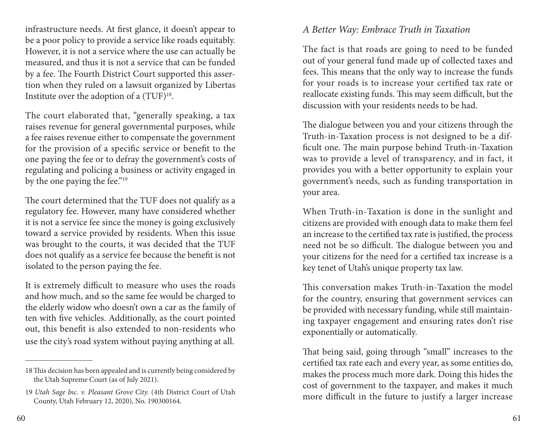infrastructure needs. At first glance, it doesn't appear to be a poor policy to provide a service like roads equitably. However, it is not a service where the use can actually be measured, and thus it is not a service that can be funded by a fee. The Fourth District Court supported this assertion when they ruled on a lawsuit organized by Libertas Institute over the adoption of a  $(TUF)^{18}$ .

The court elaborated that, "generally speaking, a tax raises revenue for general governmental purposes, while a fee raises revenue either to compensate the government for the provision of a specific service or benefit to the one paying the fee or to defray the government's costs of regulating and policing a business or activity engaged in by the one paying the fee."19

The court determined that the TUF does not qualify as a regulatory fee. However, many have considered whether it is not a service fee since the money is going exclusively toward a service provided by residents. When this issue was brought to the courts, it was decided that the TUF does not qualify as a service fee because the benefit is not isolated to the person paying the fee.

It is extremely difficult to measure who uses the roads and how much, and so the same fee would be charged to the elderly widow who doesn't own a car as the family of ten with five vehicles. Additionally, as the court pointed out, this benefit is also extended to non-residents who use the city's road system without paying anything at all.

## *A Better Way: Embrace Truth in Taxation*

The fact is that roads are going to need to be funded out of your general fund made up of collected taxes and fees. This means that the only way to increase the funds for your roads is to increase your certified tax rate or reallocate existing funds. This may seem difficult, but the discussion with your residents needs to be had.

The dialogue between you and your citizens through the Truth-in-Taxation process is not designed to be a difficult one. The main purpose behind Truth-in-Taxation was to provide a level of transparency, and in fact, it provides you with a better opportunity to explain your government's needs, such as funding transportation in your area.

When Truth-in-Taxation is done in the sunlight and citizens are provided with enough data to make them feel an increase to the certified tax rate is justified, the process need not be so difficult. The dialogue between you and your citizens for the need for a certified tax increase is a key tenet of Utah's unique property tax law.

This conversation makes Truth-in-Taxation the model for the country, ensuring that government services can be provided with necessary funding, while still maintaining taxpayer engagement and ensuring rates don't rise exponentially or automatically.

That being said, going through "small" increases to the certified tax rate each and every year, as some entities do, makes the process much more dark. Doing this hides the cost of government to the taxpayer, and makes it much more difficult in the future to justify a larger increase

<sup>18</sup>This decision has been appealed and is currently being considered by the Utah Supreme Court (as of July 2021).

<sup>19</sup> *Utah Sage Inc. v. Pleasant Grove City.* (4th District Court of Utah County, Utah February 12, 2020), No. 190300164.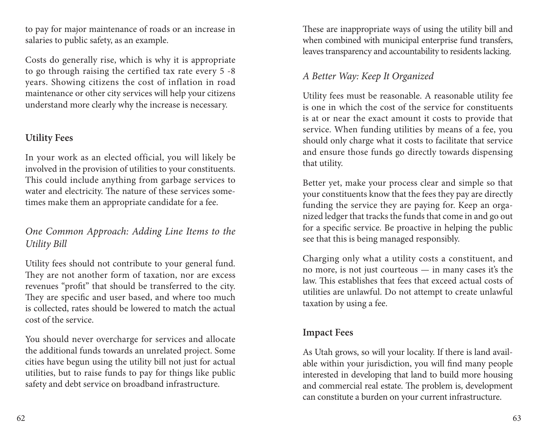to pay for major maintenance of roads or an increase in salaries to public safety, as an example.

Costs do generally rise, which is why it is appropriate to go through raising the certified tax rate every 5 -8 years. Showing citizens the cost of inflation in road maintenance or other city services will help your citizens understand more clearly why the increase is necessary.

## **Utility Fees**

In your work as an elected official, you will likely be involved in the provision of utilities to your constituents. This could include anything from garbage services to water and electricity. The nature of these services sometimes make them an appropriate candidate for a fee.

## *One Common Approach: Adding Line Items to the Utility Bill*

Utility fees should not contribute to your general fund. They are not another form of taxation, nor are excess revenues "profit" that should be transferred to the city. They are specific and user based, and where too much is collected, rates should be lowered to match the actual cost of the service.

You should never overcharge for services and allocate the additional funds towards an unrelated project. Some cities have begun using the utility bill not just for actual utilities, but to raise funds to pay for things like public safety and debt service on broadband infrastructure.

These are inappropriate ways of using the utility bill and when combined with municipal enterprise fund transfers, leaves transparency and accountability to residents lacking.

## *A Better Way: Keep It Organized*

Utility fees must be reasonable. A reasonable utility fee is one in which the cost of the service for constituents is at or near the exact amount it costs to provide that service. When funding utilities by means of a fee, you should only charge what it costs to facilitate that service and ensure those funds go directly towards dispensing that utility.

Better yet, make your process clear and simple so that your constituents know that the fees they pay are directly funding the service they are paying for. Keep an organized ledger that tracks the funds that come in and go out for a specific service. Be proactive in helping the public see that this is being managed responsibly.

Charging only what a utility costs a constituent, and no more, is not just courteous — in many cases it's the law. This establishes that fees that exceed actual costs of utilities are unlawful. Do not attempt to create unlawful taxation by using a fee.

### **Impact Fees**

As Utah grows, so will your locality. If there is land available within your jurisdiction, you will find many people interested in developing that land to build more housing and commercial real estate. The problem is, development can constitute a burden on your current infrastructure.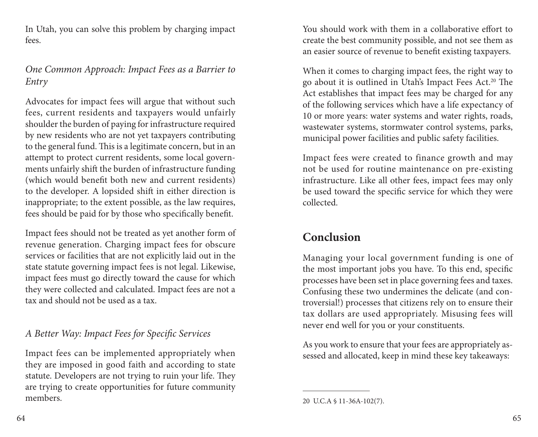In Utah, you can solve this problem by charging impact fees.

#### *One Common Approach: Impact Fees as a Barrier to Entry*

Advocates for impact fees will argue that without such fees, current residents and taxpayers would unfairly shoulder the burden of paying for infrastructure required by new residents who are not yet taxpayers contributing to the general fund. This is a legitimate concern, but in an attempt to protect current residents, some local governments unfairly shift the burden of infrastructure funding (which would benefit both new and current residents) to the developer. A lopsided shift in either direction is inappropriate; to the extent possible, as the law requires, fees should be paid for by those who specifically benefit.

Impact fees should not be treated as yet another form of revenue generation. Charging impact fees for obscure services or facilities that are not explicitly laid out in the state statute governing impact fees is not legal. Likewise, impact fees must go directly toward the cause for which they were collected and calculated. Impact fees are not a tax and should not be used as a tax.

## *A Better Way: Impact Fees for Specific Services*

Impact fees can be implemented appropriately when they are imposed in good faith and according to state statute. Developers are not trying to ruin your life. They are trying to create opportunities for future community members.

You should work with them in a collaborative effort to create the best community possible, and not see them as an easier source of revenue to benefit existing taxpayers.

When it comes to charging impact fees, the right way to go about it is outlined in Utah's Impact Fees Act.20 The Act establishes that impact fees may be charged for any of the following services which have a life expectancy of 10 or more years: water systems and water rights, roads, wastewater systems, stormwater control systems, parks, municipal power facilities and public safety facilities.

Impact fees were created to finance growth and may not be used for routine maintenance on pre-existing infrastructure. Like all other fees, impact fees may only be used toward the specific service for which they were collected.

## **Conclusion**

Managing your local government funding is one of the most important jobs you have. To this end, specific processes have been set in place governing fees and taxes. Confusing these two undermines the delicate (and controversial!) processes that citizens rely on to ensure their tax dollars are used appropriately. Misusing fees will never end well for you or your constituents.

As you work to ensure that your fees are appropriately assessed and allocated, keep in mind these key takeaways:

<sup>20</sup> U.C.A § 11-36A-102(7).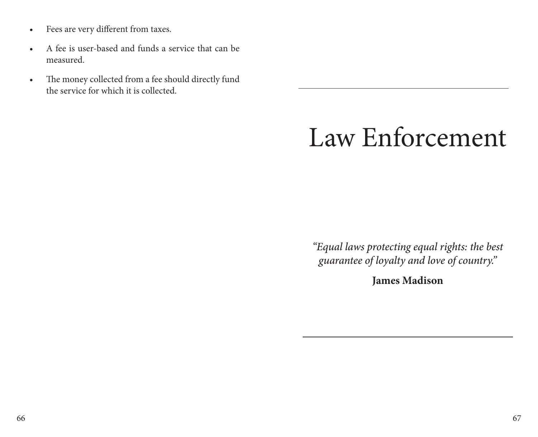- Fees are very different from taxes.
- A fee is user-based and funds a service that can be measured.
- The money collected from a fee should directly fund the service for which it is collected.

# Law Enforcement

*"Equal laws protecting equal rights: the best guarantee of loyalty and love of country."*

**James Madison**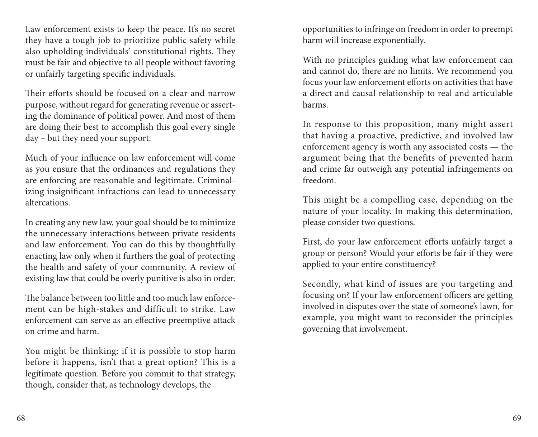Law enforcement exists to keep the peace. It's no secret they have a tough job to prioritize public safety while also upholding individuals' constitutional rights. They must be fair and objective to all people without favoring or unfairly targeting specific individuals.

Their efforts should be focused on a clear and narrow purpose, without regard for generating revenue or asserting the dominance of political power. And most of them are doing their best to accomplish this goal every single day – but they need your support.

Much of your influence on law enforcement will come as you ensure that the ordinances and regulations they are enforcing are reasonable and legitimate. Criminalizing insignificant infractions can lead to unnecessary altercations.

In creating any new law, your goal should be to minimize the unnecessary interactions between private residents and law enforcement. You can do this by thoughtfully enacting law only when it furthers the goal of protecting the health and safety of your community. A review of existing law that could be overly punitive is also in order.

The balance between too little and too much law enforcement can be high-stakes and difficult to strike. Law enforcement can serve as an effective preemptive attack on crime and harm.

You might be thinking: if it is possible to stop harm before it happens, isn't that a great option? This is a legitimate question. Before you commit to that strategy, though, consider that, as technology develops, the

opportunities to infringe on freedom in order to preempt harm will increase exponentially.

With no principles guiding what law enforcement can and cannot do, there are no limits. We recommend you focus your law enforcement efforts on activities that have a direct and causal relationship to real and articulable harms.

In response to this proposition, many might assert that having a proactive, predictive, and involved law enforcement agency is worth any associated costs — the argument being that the benefits of prevented harm and crime far outweigh any potential infringements on freedom.

This might be a compelling case, depending on the nature of your locality. In making this determination, please consider two questions.

First, do your law enforcement efforts unfairly target a group or person? Would your efforts be fair if they were applied to your entire constituency?

Secondly, what kind of issues are you targeting and focusing on? If your law enforcement officers are getting involved in disputes over the state of someone's lawn, for example, you might want to reconsider the principles governing that involvement.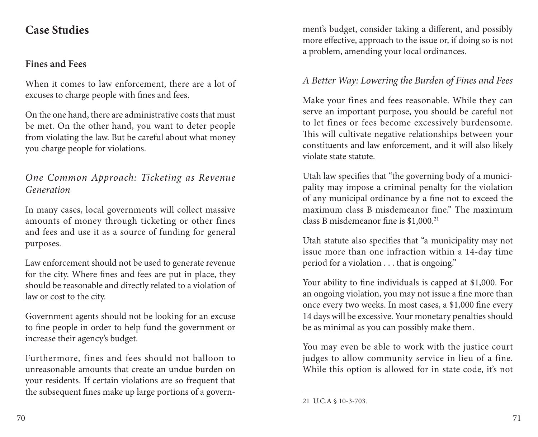## **Case Studies**

### **Fines and Fees**

When it comes to law enforcement, there are a lot of excuses to charge people with fines and fees.

On the one hand, there are administrative costs that must be met. On the other hand, you want to deter people from violating the law. But be careful about what money you charge people for violations.

## *One Common Approach: Ticketing as Revenue Generation*

In many cases, local governments will collect massive amounts of money through ticketing or other fines and fees and use it as a source of funding for general purposes.

Law enforcement should not be used to generate revenue for the city. Where fines and fees are put in place, they should be reasonable and directly related to a violation of law or cost to the city.

Government agents should not be looking for an excuse to fine people in order to help fund the government or increase their agency's budget.

Furthermore, fines and fees should not balloon to unreasonable amounts that create an undue burden on your residents. If certain violations are so frequent that the subsequent fines make up large portions of a government's budget, consider taking a different, and possibly more effective, approach to the issue or, if doing so is not a problem, amending your local ordinances.

## *A Better Way: Lowering the Burden of Fines and Fees*

Make your fines and fees reasonable. While they can serve an important purpose, you should be careful not to let fines or fees become excessively burdensome. This will cultivate negative relationships between your constituents and law enforcement, and it will also likely violate state statute.

Utah law specifies that "the governing body of a municipality may impose a criminal penalty for the violation of any municipal ordinance by a fine not to exceed the maximum class B misdemeanor fine." The maximum class B misdemeanor fine is \$1,000.21

Utah statute also specifies that "a municipality may not issue more than one infraction within a 14-day time period for a violation . . . that is ongoing."

Your ability to fine individuals is capped at \$1,000. For an ongoing violation, you may not issue a fine more than once every two weeks. In most cases, a \$1,000 fine every 14 days will be excessive. Your monetary penalties should be as minimal as you can possibly make them.

You may even be able to work with the justice court judges to allow community service in lieu of a fine. While this option is allowed for in state code, it's not

<sup>21</sup> U.C.A § 10-3-703.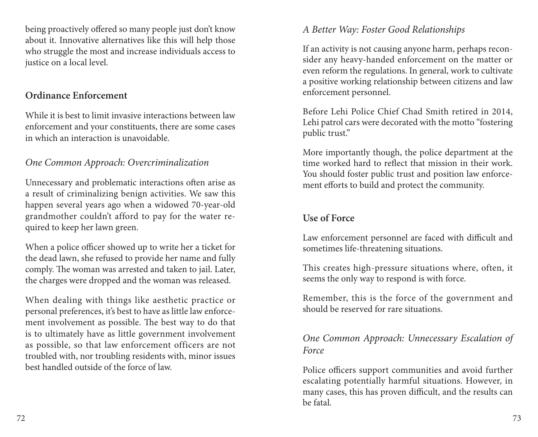being proactively offered so many people just don't know about it. Innovative alternatives like this will help those who struggle the most and increase individuals access to justice on a local level.

#### **Ordinance Enforcement**

While it is best to limit invasive interactions between law enforcement and your constituents, there are some cases in which an interaction is unavoidable.

### *One Common Approach: Overcriminalization*

Unnecessary and problematic interactions often arise as a result of criminalizing benign activities. We saw this happen several years ago when a widowed 70-year-old grandmother couldn't afford to pay for the water required to keep her lawn green.

When a police officer showed up to write her a ticket for the dead lawn, she refused to provide her name and fully comply. The woman was arrested and taken to jail. Later, the charges were dropped and the woman was released.

When dealing with things like aesthetic practice or personal preferences, it's best to have as little law enforcement involvement as possible. The best way to do that is to ultimately have as little government involvement as possible, so that law enforcement officers are not troubled with, nor troubling residents with, minor issues best handled outside of the force of law.

#### *A Better Way: Foster Good Relationships*

If an activity is not causing anyone harm, perhaps reconsider any heavy-handed enforcement on the matter or even reform the regulations. In general, work to cultivate a positive working relationship between citizens and law enforcement personnel.

Before Lehi Police Chief Chad Smith retired in 2014, Lehi patrol cars were decorated with the motto "fostering public trust."

More importantly though, the police department at the time worked hard to reflect that mission in their work. You should foster public trust and position law enforcement efforts to build and protect the community.

### **Use of Force**

Law enforcement personnel are faced with difficult and sometimes life-threatening situations.

This creates high-pressure situations where, often, it seems the only way to respond is with force.

Remember, this is the force of the government and should be reserved for rare situations.

#### *One Common Approach: Unnecessary Escalation of Force*

Police officers support communities and avoid further escalating potentially harmful situations. However, in many cases, this has proven difficult, and the results can be fatal.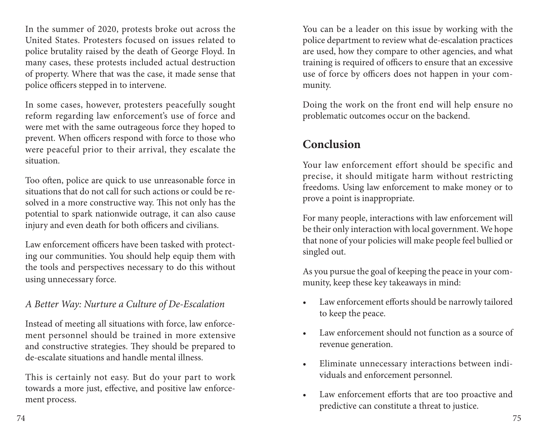In the summer of 2020, protests broke out across the United States. Protesters focused on issues related to police brutality raised by the death of George Floyd. In many cases, these protests included actual destruction of property. Where that was the case, it made sense that police officers stepped in to intervene.

In some cases, however, protesters peacefully sought reform regarding law enforcement's use of force and were met with the same outrageous force they hoped to prevent. When officers respond with force to those who were peaceful prior to their arrival, they escalate the situation.

Too often, police are quick to use unreasonable force in situations that do not call for such actions or could be resolved in a more constructive way. This not only has the potential to spark nationwide outrage, it can also cause injury and even death for both officers and civilians.

Law enforcement officers have been tasked with protecting our communities. You should help equip them with the tools and perspectives necessary to do this without using unnecessary force.

#### *A Better Way: Nurture a Culture of De-Escalation*

Instead of meeting all situations with force, law enforcement personnel should be trained in more extensive and constructive strategies. They should be prepared to de-escalate situations and handle mental illness.

This is certainly not easy. But do your part to work towards a more just, effective, and positive law enforcement process.

You can be a leader on this issue by working with the police department to review what de-escalation practices are used, how they compare to other agencies, and what training is required of officers to ensure that an excessive use of force by officers does not happen in your community.

Doing the work on the front end will help ensure no problematic outcomes occur on the backend.

## **Conclusion**

Your law enforcement effort should be specific and precise, it should mitigate harm without restricting freedoms. Using law enforcement to make money or to prove a point is inappropriate.

For many people, interactions with law enforcement will be their only interaction with local government. We hope that none of your policies will make people feel bullied or singled out.

As you pursue the goal of keeping the peace in your community, keep these key takeaways in mind:

- Law enforcement efforts should be narrowly tailored to keep the peace.
- Law enforcement should not function as a source of revenue generation.
- Eliminate unnecessary interactions between individuals and enforcement personnel.
- Law enforcement efforts that are too proactive and predictive can constitute a threat to justice.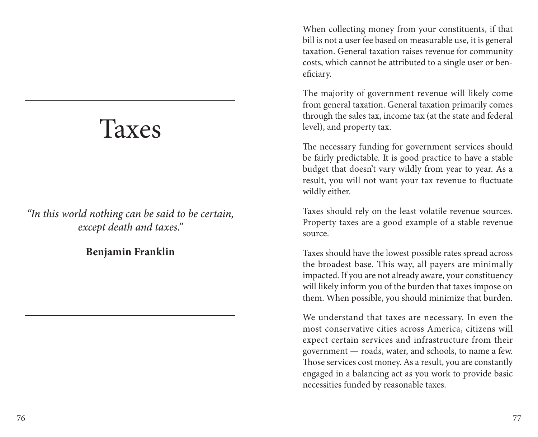# Taxes

*"In this world nothing can be said to be certain, except death and taxes."*

#### **Benjamin Franklin**

When collecting money from your constituents, if that bill is not a user fee based on measurable use, it is general taxation. General taxation raises revenue for community costs, which cannot be attributed to a single user or beneficiary.

The majority of government revenue will likely come from general taxation. General taxation primarily comes through the sales tax, income tax (at the state and federal level), and property tax.

The necessary funding for government services should be fairly predictable. It is good practice to have a stable budget that doesn't vary wildly from year to year. As a result, you will not want your tax revenue to fluctuate wildly either.

Taxes should rely on the least volatile revenue sources. Property taxes are a good example of a stable revenue source.

Taxes should have the lowest possible rates spread across the broadest base. This way, all payers are minimally impacted. If you are not already aware, your constituency will likely inform you of the burden that taxes impose on them. When possible, you should minimize that burden.

We understand that taxes are necessary. In even the most conservative cities across America, citizens will expect certain services and infrastructure from their government — roads, water, and schools, to name a few. Those services cost money. As a result, you are constantly engaged in a balancing act as you work to provide basic necessities funded by reasonable taxes.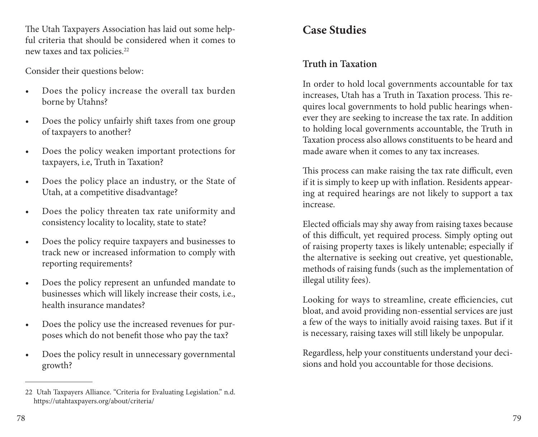The Utah Taxpayers Association has laid out some helpful criteria that should be considered when it comes to new taxes and tax policies.22

Consider their questions below:

- Does the policy increase the overall tax burden borne by Utahns?
- Does the policy unfairly shift taxes from one group of taxpayers to another?
- Does the policy weaken important protections for taxpayers, i.e, Truth in Taxation?
- Does the policy place an industry, or the State of Utah, at a competitive disadvantage?
- Does the policy threaten tax rate uniformity and consistency locality to locality, state to state?
- Does the policy require taxpayers and businesses to track new or increased information to comply with reporting requirements?
- Does the policy represent an unfunded mandate to businesses which will likely increase their costs, i.e., health insurance mandates?
- Does the policy use the increased revenues for purposes which do not benefit those who pay the tax?
- Does the policy result in unnecessary governmental growth?

## **Case Studies**

## **Truth in Taxation**

In order to hold local governments accountable for tax increases, Utah has a Truth in Taxation process. This requires local governments to hold public hearings whenever they are seeking to increase the tax rate. In addition to holding local governments accountable, the Truth in Taxation process also allows constituents to be heard and made aware when it comes to any tax increases.

This process can make raising the tax rate difficult, even if it is simply to keep up with inflation. Residents appearing at required hearings are not likely to support a tax increase.

Elected officials may shy away from raising taxes because of this difficult, yet required process. Simply opting out of raising property taxes is likely untenable; especially if the alternative is seeking out creative, yet questionable, methods of raising funds (such as the implementation of illegal utility fees).

Looking for ways to streamline, create efficiencies, cut bloat, and avoid providing non-essential services are just a few of the ways to initially avoid raising taxes. But if it is necessary, raising taxes will still likely be unpopular.

Regardless, help your constituents understand your decisions and hold you accountable for those decisions.

<sup>22</sup> Utah Taxpayers Alliance. "Criteria for Evaluating Legislation." n.d. https://utahtaxpayers.org/about/criteria/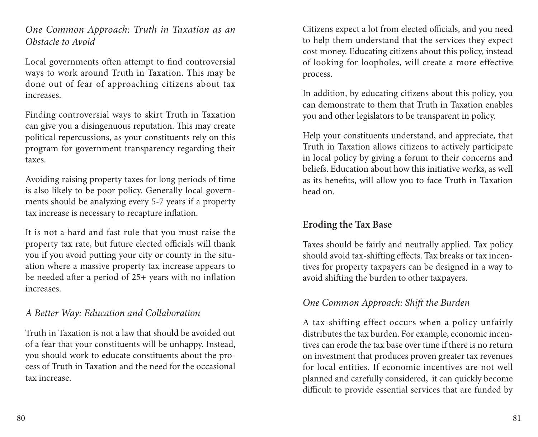*One Common Approach: Truth in Taxation as an Obstacle to Avoid*

Local governments often attempt to find controversial ways to work around Truth in Taxation. This may be done out of fear of approaching citizens about tax increases.

Finding controversial ways to skirt Truth in Taxation can give you a disingenuous reputation. This may create political repercussions, as your constituents rely on this program for government transparency regarding their taxes.

Avoiding raising property taxes for long periods of time is also likely to be poor policy. Generally local governments should be analyzing every 5-7 years if a property tax increase is necessary to recapture inflation.

It is not a hard and fast rule that you must raise the property tax rate, but future elected officials will thank you if you avoid putting your city or county in the situation where a massive property tax increase appears to be needed after a period of 25+ years with no inflation increases.

#### *A Better Way: Education and Collaboration*

Truth in Taxation is not a law that should be avoided out of a fear that your constituents will be unhappy. Instead, you should work to educate constituents about the process of Truth in Taxation and the need for the occasional tax increase.

Citizens expect a lot from elected officials, and you need to help them understand that the services they expect cost money. Educating citizens about this policy, instead of looking for loopholes, will create a more effective process.

In addition, by educating citizens about this policy, you can demonstrate to them that Truth in Taxation enables you and other legislators to be transparent in policy.

Help your constituents understand, and appreciate, that Truth in Taxation allows citizens to actively participate in local policy by giving a forum to their concerns and beliefs. Education about how this initiative works, as well as its benefits, will allow you to face Truth in Taxation head on.

### **Eroding the Tax Base**

Taxes should be fairly and neutrally applied. Tax policy should avoid tax-shifting effects. Tax breaks or tax incentives for property taxpayers can be designed in a way to avoid shifting the burden to other taxpayers.

### *One Common Approach: Shift the Burden*

A tax-shifting effect occurs when a policy unfairly distributes the tax burden. For example, economic incentives can erode the tax base over time if there is no return on investment that produces proven greater tax revenues for local entities. If economic incentives are not well planned and carefully considered, it can quickly become difficult to provide essential services that are funded by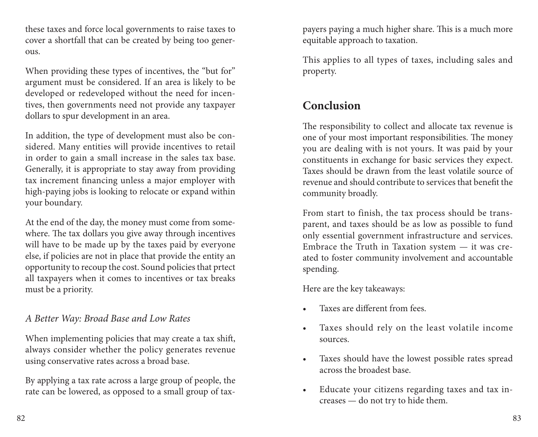these taxes and force local governments to raise taxes to cover a shortfall that can be created by being too generous.

When providing these types of incentives, the "but for" argument must be considered. If an area is likely to be developed or redeveloped without the need for incentives, then governments need not provide any taxpayer dollars to spur development in an area.

In addition, the type of development must also be considered. Many entities will provide incentives to retail in order to gain a small increase in the sales tax base. Generally, it is appropriate to stay away from providing tax increment financing unless a major employer with high-paying jobs is looking to relocate or expand within your boundary.

At the end of the day, the money must come from somewhere. The tax dollars you give away through incentives will have to be made up by the taxes paid by everyone else, if policies are not in place that provide the entity an opportunity to recoup the cost. Sound policies that prtect all taxpayers when it comes to incentives or tax breaks must be a priority.

#### *A Better Way: Broad Base and Low Rates*

When implementing policies that may create a tax shift, always consider whether the policy generates revenue using conservative rates across a broad base.

By applying a tax rate across a large group of people, the rate can be lowered, as opposed to a small group of tax-

payers paying a much higher share. This is a much more equitable approach to taxation.

This applies to all types of taxes, including sales and property.

## **Conclusion**

The responsibility to collect and allocate tax revenue is one of your most important responsibilities. The money you are dealing with is not yours. It was paid by your constituents in exchange for basic services they expect. Taxes should be drawn from the least volatile source of revenue and should contribute to services that benefit the community broadly.

From start to finish, the tax process should be transparent, and taxes should be as low as possible to fund only essential government infrastructure and services. Embrace the Truth in Taxation system — it was created to foster community involvement and accountable spending.

Here are the key takeaways:

- Taxes are different from fees.
- Taxes should rely on the least volatile income sources.
- Taxes should have the lowest possible rates spread across the broadest base.
- Educate your citizens regarding taxes and tax increases — do not try to hide them.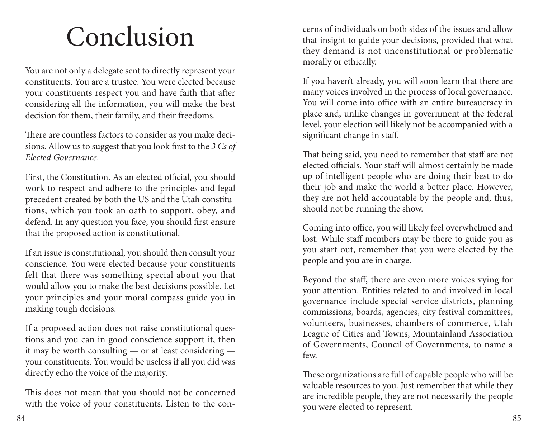# Conclusion

You are not only a delegate sent to directly represent your constituents. You are a trustee. You were elected because your constituents respect you and have faith that after considering all the information, you will make the best decision for them, their family, and their freedoms.

There are countless factors to consider as you make decisions. Allow us to suggest that you look first to the *3 Cs of Elected Governance*.

First, the Constitution. As an elected official, you should work to respect and adhere to the principles and legal precedent created by both the US and the Utah constitutions, which you took an oath to support, obey, and defend. In any question you face, you should first ensure that the proposed action is constitutional.

If an issue is constitutional, you should then consult your conscience. You were elected because your constituents felt that there was something special about you that would allow you to make the best decisions possible. Let your principles and your moral compass guide you in making tough decisions.

If a proposed action does not raise constitutional questions and you can in good conscience support it, then it may be worth consulting — or at least considering your constituents. You would be useless if all you did was directly echo the voice of the majority.

This does not mean that you should not be concerned with the voice of your constituents. Listen to the concerns of individuals on both sides of the issues and allow that insight to guide your decisions, provided that what they demand is not unconstitutional or problematic morally or ethically.

If you haven't already, you will soon learn that there are many voices involved in the process of local governance. You will come into office with an entire bureaucracy in place and, unlike changes in government at the federal level, your election will likely not be accompanied with a significant change in staff.

That being said, you need to remember that staff are not elected officials. Your staff will almost certainly be made up of intelligent people who are doing their best to do their job and make the world a better place. However, they are not held accountable by the people and, thus, should not be running the show.

Coming into office, you will likely feel overwhelmed and lost. While staff members may be there to guide you as you start out, remember that you were elected by the people and you are in charge.

Beyond the staff, there are even more voices vying for your attention. Entities related to and involved in local governance include special service districts, planning commissions, boards, agencies, city festival committees, volunteers, businesses, chambers of commerce, Utah League of Cities and Towns, Mountainland Association of Governments, Council of Governments, to name a few.

These organizations are full of capable people who will be valuable resources to you. Just remember that while they are incredible people, they are not necessarily the people you were elected to represent.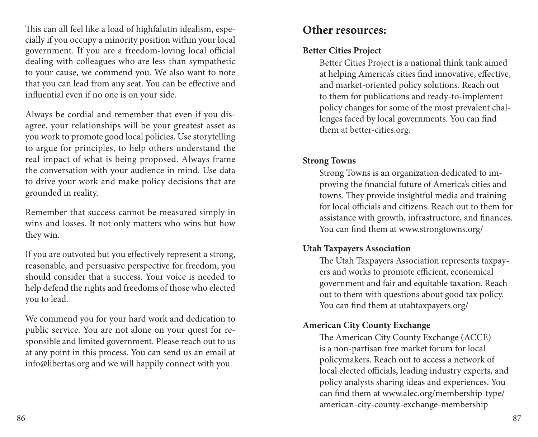This can all feel like a load of highfalutin idealism, especially if you occupy a minority position within your local government. If you are a freedom-loving local official dealing with colleagues who are less than sympathetic to your cause, we commend you. We also want to note that you can lead from any seat. You can be effective and influential even if no one is on your side.

Always be cordial and remember that even if you disagree, your relationships will be your greatest asset as you work to promote good local policies. Use storytelling to argue for principles, to help others understand the real impact of what is being proposed. Always frame the conversation with your audience in mind. Use data to drive your work and make policy decisions that are grounded in reality.

Remember that success cannot be measured simply in wins and losses. It not only matters who wins but how they win.

If you are outvoted but you effectively represent a strong, reasonable, and persuasive perspective for freedom, you should consider that a success. Your voice is needed to help defend the rights and freedoms of those who elected you to lead.

We commend you for your hard work and dedication to public service. You are not alone on your quest for responsible and limited government. Please reach out to us at any point in this process. You can send us an email at info@libertas.org and we will happily connect with you.

## **Other resources:**

#### **Better Cities Project**

Better Cities Project is a national think tank aimed at helping America's cities find innovative, effective, and market-oriented policy solutions. Reach out to them for publications and ready-to-implement policy changes for some of the most prevalent challenges faced by local governments. You can find them at better-cities.org.

#### **Strong Towns**

Strong Towns is an organization dedicated to improving the financial future of America's cities and towns. They provide insightful media and training for local officials and citizens. Reach out to them for assistance with growth, infrastructure, and finances. You can find them at www.strongtowns.org/

#### **Utah Taxpayers Association**

The Utah Taxpayers Association represents taxpayers and works to promote efficient, economical government and fair and equitable taxation. Reach out to them with questions about good tax policy. You can find them at utahtaxpayers.org/

#### **American City County Exchange**

The American City County Exchange (ACCE) is a non-partisan free market forum for local policymakers. Reach out to access a network of local elected officials, leading industry experts, and policy analysts sharing ideas and experiences. You can find them at www.alec.org/membership-type/ american-city-county-exchange-membership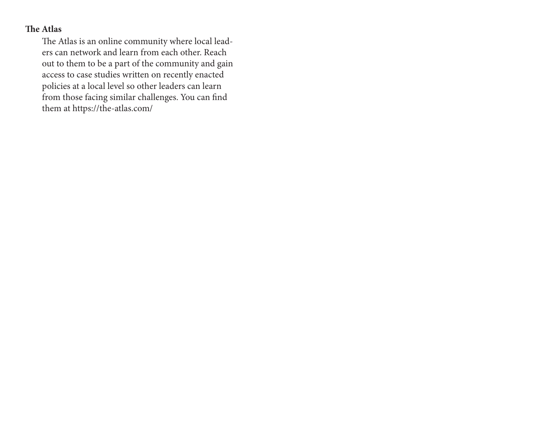#### **The Atlas**

The Atlas is an online community where local leaders can network and learn from each other. Reach out to them to be a part of the community and gain access to case studies written on recently enacted policies at a local level so other leaders can learn from those facing similar challenges. You can find them at https://the-atlas.com/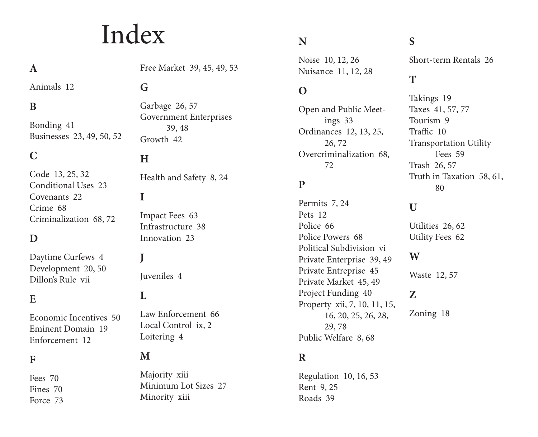# Index

## **A**

Animals 12

#### **B**

Bonding 41 Businesses 23, 49, 50, 52

#### **C**

Code 13, 25, 32 Conditional Uses 23 Covenants 22 Crime 68 Criminalization 68, 72

#### **D**

Daytime Curfews 4 Development 20, 50 Dillon's Rule vii

#### **E**

Economic Incentives 50 Eminent Domain 19 Enforcement 12

#### **F**

Fees 70 Fines 70 Force 73 Free Market 39, 45, 49, 53

## **G**

Garbage 26, 57 Government Enterprises 39, 48 Growth 42

#### **H**

Health and Safety 8, 24

#### **I**

Impact Fees 63 Infrastructure 38 Innovation 23

#### Juveniles 4

#### **L**

**J**

Law Enforcement 66 Local Control ix, 2 Loitering 4

#### **M**

Majority xiii Minimum Lot Sizes 27 Minority xiii

#### **N**

Noise 10, 12, 26 Nuisance 11, 12, 28

### **O**

Open and Public Meetings 33 Ordinances 12, 13, 25, 26, 72 Overcriminalization 68, 72

## **P**

Permits 7, 24 Pets 12 Police 66 Police Powers 68 Political Subdivision vi Private Enterprise 39, 49 Private Entreprise 45 Private Market 45, 49 Project Funding 40 Property xii, 7, 10, 11, 15, 16, 20, 25, 26, 28, 29, 78 Public Welfare 8, 68

#### **R**

Regulation 10, 16, 53 Rent 9, 25 Roads 39

## **S**

Short-term Rentals 26

#### **T**

Takings 19 Taxes 41, 57, 77 Tourism 9 Traffic 10 Transportation Utility Fees 59 Trash 26, 57 Truth in Taxation 58, 61, 80

### **U**

Utilities 26, 62 Utility Fees 62

#### **W**

Waste 12, 57

#### **Z**

Zoning 18